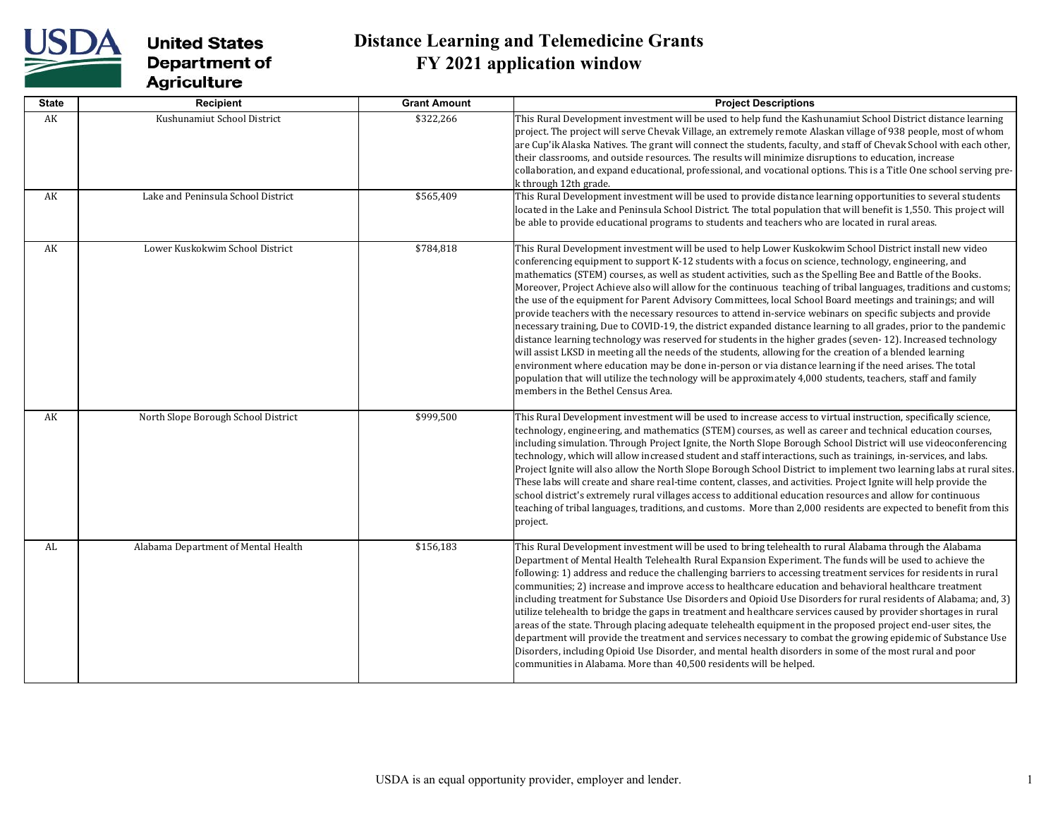

| <b>State</b> | Recipient                           | <b>Grant Amount</b> | <b>Project Descriptions</b>                                                                                                                                                                                                                                                                                                                                                                                                                                                                                                                                                                                                                                                                                                                                                                                                                                                                                                                                                                                                                                                                                                                                                                                                                                                                                  |
|--------------|-------------------------------------|---------------------|--------------------------------------------------------------------------------------------------------------------------------------------------------------------------------------------------------------------------------------------------------------------------------------------------------------------------------------------------------------------------------------------------------------------------------------------------------------------------------------------------------------------------------------------------------------------------------------------------------------------------------------------------------------------------------------------------------------------------------------------------------------------------------------------------------------------------------------------------------------------------------------------------------------------------------------------------------------------------------------------------------------------------------------------------------------------------------------------------------------------------------------------------------------------------------------------------------------------------------------------------------------------------------------------------------------|
| AK           | Kushunamiut School District         | \$322,266           | This Rural Development investment will be used to help fund the Kashunamiut School District distance learning<br>project. The project will serve Chevak Village, an extremely remote Alaskan village of 938 people, most of whom<br>are Cup'ik Alaska Natives. The grant will connect the students, faculty, and staff of Chevak School with each other,<br>their classrooms, and outside resources. The results will minimize disruptions to education, increase<br>collaboration, and expand educational, professional, and vocational options. This is a Title One school serving pre-<br>k through 12th grade.                                                                                                                                                                                                                                                                                                                                                                                                                                                                                                                                                                                                                                                                                           |
| AK           | Lake and Peninsula School District  | \$565,409           | This Rural Development investment will be used to provide distance learning opportunities to several students<br>located in the Lake and Peninsula School District. The total population that will benefit is 1,550. This project will<br>be able to provide educational programs to students and teachers who are located in rural areas.                                                                                                                                                                                                                                                                                                                                                                                                                                                                                                                                                                                                                                                                                                                                                                                                                                                                                                                                                                   |
| AK           | Lower Kuskokwim School District     | \$784,818           | This Rural Development investment will be used to help Lower Kuskokwim School District install new video<br>conferencing equipment to support K-12 students with a focus on science, technology, engineering, and<br>mathematics (STEM) courses, as well as student activities, such as the Spelling Bee and Battle of the Books.<br>Moreover, Project Achieve also will allow for the continuous teaching of tribal languages, traditions and customs;<br>the use of the equipment for Parent Advisory Committees, local School Board meetings and trainings; and will<br>provide teachers with the necessary resources to attend in-service webinars on specific subjects and provide<br>necessary training, Due to COVID-19, the district expanded distance learning to all grades, prior to the pandemic<br>distance learning technology was reserved for students in the higher grades (seven-12). Increased technology<br>will assist LKSD in meeting all the needs of the students, allowing for the creation of a blended learning<br>environment where education may be done in-person or via distance learning if the need arises. The total<br>population that will utilize the technology will be approximately 4,000 students, teachers, staff and family<br>members in the Bethel Census Area. |
| AK           | North Slope Borough School District | \$999,500           | This Rural Development investment will be used to increase access to virtual instruction, specifically science,<br>technology, engineering, and mathematics (STEM) courses, as well as career and technical education courses,<br>including simulation. Through Project Ignite, the North Slope Borough School District will use videoconferencing<br>technology, which will allow increased student and staff interactions, such as trainings, in-services, and labs.<br>Project Ignite will also allow the North Slope Borough School District to implement two learning labs at rural sites.<br>These labs will create and share real-time content, classes, and activities. Project Ignite will help provide the<br>school district's extremely rural villages access to additional education resources and allow for continuous<br>teaching of tribal languages, traditions, and customs. More than 2,000 residents are expected to benefit from this<br>project.                                                                                                                                                                                                                                                                                                                                       |
| AL           | Alabama Department of Mental Health | \$156,183           | This Rural Development investment will be used to bring telehealth to rural Alabama through the Alabama<br>Department of Mental Health Telehealth Rural Expansion Experiment. The funds will be used to achieve the<br>following: 1) address and reduce the challenging barriers to accessing treatment services for residents in rural<br>communities; 2) increase and improve access to healthcare education and behavioral healthcare treatment<br>including treatment for Substance Use Disorders and Opioid Use Disorders for rural residents of Alabama; and, 3)<br>utilize telehealth to bridge the gaps in treatment and healthcare services caused by provider shortages in rural<br>areas of the state. Through placing adequate telehealth equipment in the proposed project end-user sites, the<br>department will provide the treatment and services necessary to combat the growing epidemic of Substance Use<br>Disorders, including Opioid Use Disorder, and mental health disorders in some of the most rural and poor<br>communities in Alabama. More than 40,500 residents will be helped.                                                                                                                                                                                                |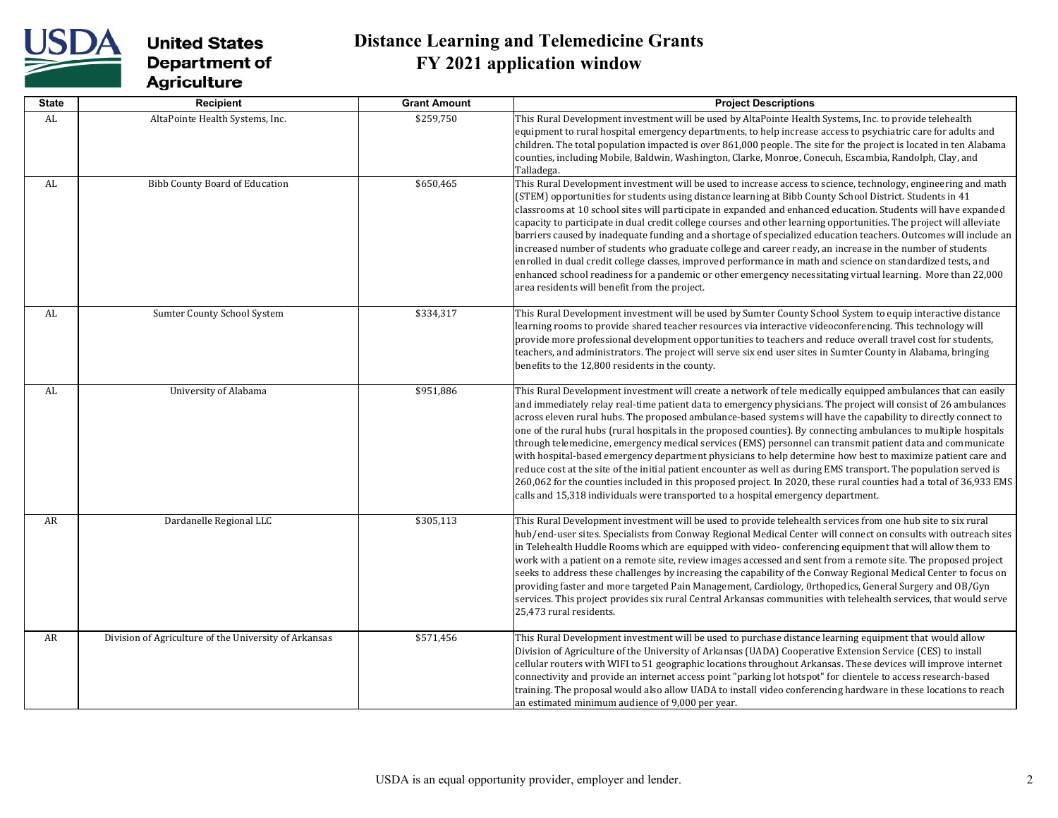

| <b>State</b> | Recipient                                             | <b>Grant Amount</b> | <b>Project Descriptions</b>                                                                                                                                                                                                                                                                                                                                                                                                                                                                                                                                                                                                                                                                                                                                                                                                                                                                                                                                                                                                           |
|--------------|-------------------------------------------------------|---------------------|---------------------------------------------------------------------------------------------------------------------------------------------------------------------------------------------------------------------------------------------------------------------------------------------------------------------------------------------------------------------------------------------------------------------------------------------------------------------------------------------------------------------------------------------------------------------------------------------------------------------------------------------------------------------------------------------------------------------------------------------------------------------------------------------------------------------------------------------------------------------------------------------------------------------------------------------------------------------------------------------------------------------------------------|
| AL           | AltaPointe Health Systems, Inc.                       | \$259,750           | This Rural Development investment will be used by AltaPointe Health Systems, Inc. to provide telehealth<br>equipment to rural hospital emergency departments, to help increase access to psychiatric care for adults and<br>children. The total population impacted is over 861,000 people. The site for the project is located in ten Alabama<br>counties, including Mobile, Baldwin, Washington, Clarke, Monroe, Conecuh, Escambia, Randolph, Clay, and<br>Talladega.                                                                                                                                                                                                                                                                                                                                                                                                                                                                                                                                                               |
| AL           | <b>Bibb County Board of Education</b>                 | \$650,465           | This Rural Development investment will be used to increase access to science, technology, engineering and math<br>(STEM) opportunities for students using distance learning at Bibb County School District. Students in 41<br>classrooms at 10 school sites will participate in expanded and enhanced education. Students will have expanded<br>capacity to participate in dual credit college courses and other learning opportunities. The project will alleviate<br>barriers caused by inadequate funding and a shortage of specialized education teachers. Outcomes will include an<br>increased number of students who graduate college and career ready, an increase in the number of students<br>enrolled in dual credit college classes, improved performance in math and science on standardized tests, and<br>enhanced school readiness for a pandemic or other emergency necessitating virtual learning. More than 22,000<br>area residents will benefit from the project.                                                 |
| AL           | Sumter County School System                           | \$334,317           | This Rural Development investment will be used by Sumter County School System to equip interactive distance<br>learning rooms to provide shared teacher resources via interactive videoconferencing. This technology will<br>provide more professional development opportunities to teachers and reduce overall travel cost for students,<br>teachers, and administrators. The project will serve six end user sites in Sumter County in Alabama, bringing<br>benefits to the 12,800 residents in the county.                                                                                                                                                                                                                                                                                                                                                                                                                                                                                                                         |
| AL           | University of Alabama                                 | \$951,886           | This Rural Development investment will create a network of tele medically equipped ambulances that can easily<br>and immediately relay real-time patient data to emergency physicians. The project will consist of 26 ambulances<br>across eleven rural hubs. The proposed ambulance-based systems will have the capability to directly connect to<br>one of the rural hubs (rural hospitals in the proposed counties). By connecting ambulances to multiple hospitals<br>through telemedicine, emergency medical services (EMS) personnel can transmit patient data and communicate<br>with hospital-based emergency department physicians to help determine how best to maximize patient care and<br>reduce cost at the site of the initial patient encounter as well as during EMS transport. The population served is<br>260,062 for the counties included in this proposed project. In 2020, these rural counties had a total of 36,933 EMS<br>calls and 15,318 individuals were transported to a hospital emergency department. |
| AR           | Dardanelle Regional LLC                               | \$305,113           | This Rural Development investment will be used to provide telehealth services from one hub site to six rural<br>hub/end-user sites. Specialists from Conway Regional Medical Center will connect on consults with outreach sites<br>in Telehealth Huddle Rooms which are equipped with video- conferencing equipment that will allow them to<br>work with a patient on a remote site, review images accessed and sent from a remote site. The proposed project<br>seeks to address these challenges by increasing the capability of the Conway Regional Medical Center to focus on<br>providing faster and more targeted Pain Management, Cardiology, Orthopedics, General Surgery and OB/Gyn<br>services. This project provides six rural Central Arkansas communities with telehealth services, that would serve<br>25,473 rural residents.                                                                                                                                                                                         |
| AR           | Division of Agriculture of the University of Arkansas | \$571,456           | This Rural Development investment will be used to purchase distance learning equipment that would allow<br>Division of Agriculture of the University of Arkansas (UADA) Cooperative Extension Service (CES) to install<br>cellular routers with WIFI to 51 geographic locations throughout Arkansas. These devices will improve internet<br>connectivity and provide an internet access point "parking lot hotspot" for clientele to access research-based<br>training. The proposal would also allow UADA to install video conferencing hardware in these locations to reach<br>an estimated minimum audience of 9,000 per year.                                                                                                                                                                                                                                                                                                                                                                                                     |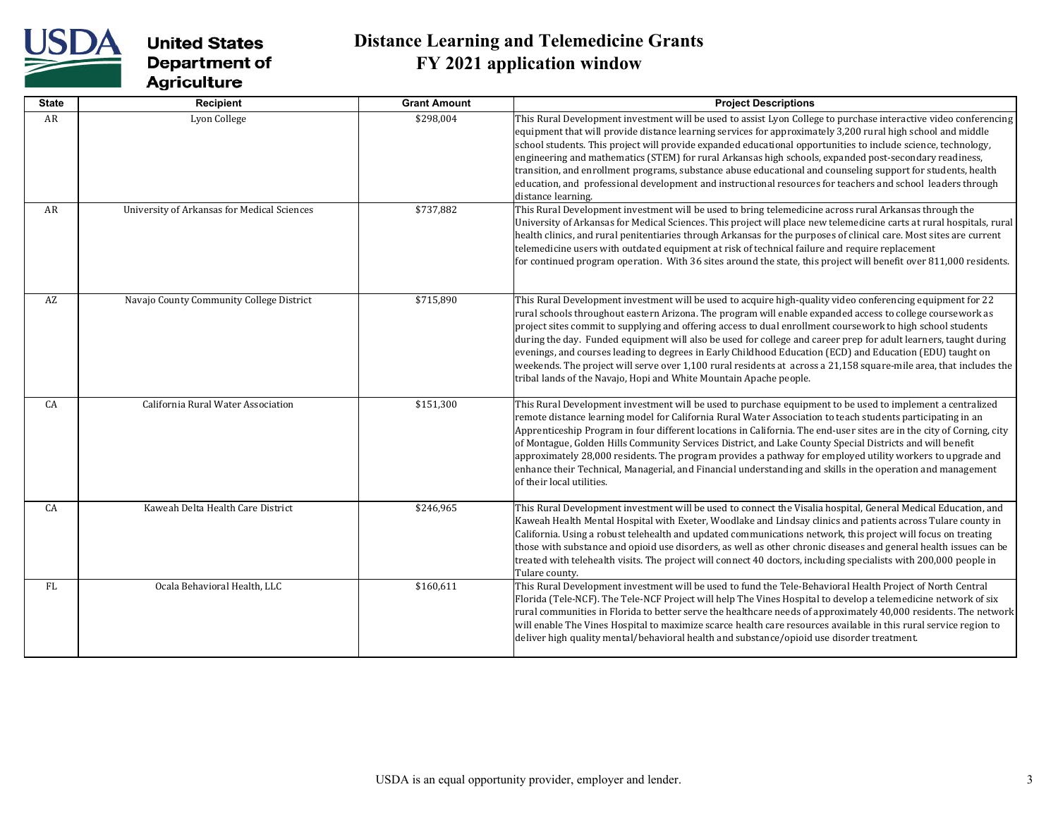

| <b>State</b> | Recipient                                   | <b>Grant Amount</b> | <b>Project Descriptions</b>                                                                                                                                                                                                                                                                                                                                                                                                                                                                                                                                                                                                                                                                                                                                          |
|--------------|---------------------------------------------|---------------------|----------------------------------------------------------------------------------------------------------------------------------------------------------------------------------------------------------------------------------------------------------------------------------------------------------------------------------------------------------------------------------------------------------------------------------------------------------------------------------------------------------------------------------------------------------------------------------------------------------------------------------------------------------------------------------------------------------------------------------------------------------------------|
| AR           | Lyon College                                | \$298,004           | This Rural Development investment will be used to assist Lyon College to purchase interactive video conferencing<br>equipment that will provide distance learning services for approximately 3,200 rural high school and middle<br>school students. This project will provide expanded educational opportunities to include science, technology,<br>engineering and mathematics (STEM) for rural Arkansas high schools, expanded post-secondary readiness,<br>transition, and enrollment programs, substance abuse educational and counseling support for students, health<br>education, and professional development and instructional resources for teachers and school leaders through<br>distance learning.                                                      |
| AR           | University of Arkansas for Medical Sciences | \$737,882           | This Rural Development investment will be used to bring telemedicine across rural Arkansas through the<br>University of Arkansas for Medical Sciences. This project will place new telemedicine carts at rural hospitals, rural<br>health clinics, and rural penitentiaries through Arkansas for the purposes of clinical care. Most sites are current<br>telemedicine users with outdated equipment at risk of technical failure and require replacement<br>for continued program operation. With 36 sites around the state, this project will benefit over 811,000 residents.                                                                                                                                                                                      |
| AZ           | Navajo County Community College District    | \$715,890           | This Rural Development investment will be used to acquire high-quality video conferencing equipment for 22<br>rural schools throughout eastern Arizona. The program will enable expanded access to college coursework as<br>project sites commit to supplying and offering access to dual enrollment coursework to high school students<br>during the day. Funded equipment will also be used for college and career prep for adult learners, taught during<br>evenings, and courses leading to degrees in Early Childhood Education (ECD) and Education (EDU) taught on<br>weekends. The project will serve over 1,100 rural residents at across a 21,158 square-mile area, that includes the<br>tribal lands of the Navajo, Hopi and White Mountain Apache people. |
| CA           | California Rural Water Association          | \$151,300           | This Rural Development investment will be used to purchase equipment to be used to implement a centralized<br>remote distance learning model for California Rural Water Association to teach students participating in an<br>Apprenticeship Program in four different locations in California. The end-user sites are in the city of Corning, city<br>of Montague, Golden Hills Community Services District, and Lake County Special Districts and will benefit<br>approximately 28,000 residents. The program provides a pathway for employed utility workers to upgrade and<br>enhance their Technical, Managerial, and Financial understanding and skills in the operation and management<br>of their local utilities.                                            |
| CA           | Kaweah Delta Health Care District           | \$246,965           | This Rural Development investment will be used to connect the Visalia hospital, General Medical Education, and<br>Kaweah Health Mental Hospital with Exeter, Woodlake and Lindsay clinics and patients across Tulare county in<br>California. Using a robust telehealth and updated communications network, this project will focus on treating<br>those with substance and opioid use disorders, as well as other chronic diseases and general health issues can be<br>treated with telehealth visits. The project will connect 40 doctors, including specialists with 200,000 people in<br>Tulare county.                                                                                                                                                          |
| FL.          | Ocala Behavioral Health, LLC                | \$160,611           | This Rural Development investment will be used to fund the Tele-Behavioral Health Project of North Central<br>Florida (Tele-NCF). The Tele-NCF Project will help The Vines Hospital to develop a telemedicine network of six<br>rural communities in Florida to better serve the healthcare needs of approximately 40,000 residents. The network<br>will enable The Vines Hospital to maximize scarce health care resources available in this rural service region to<br>deliver high quality mental/behavioral health and substance/opioid use disorder treatment.                                                                                                                                                                                                  |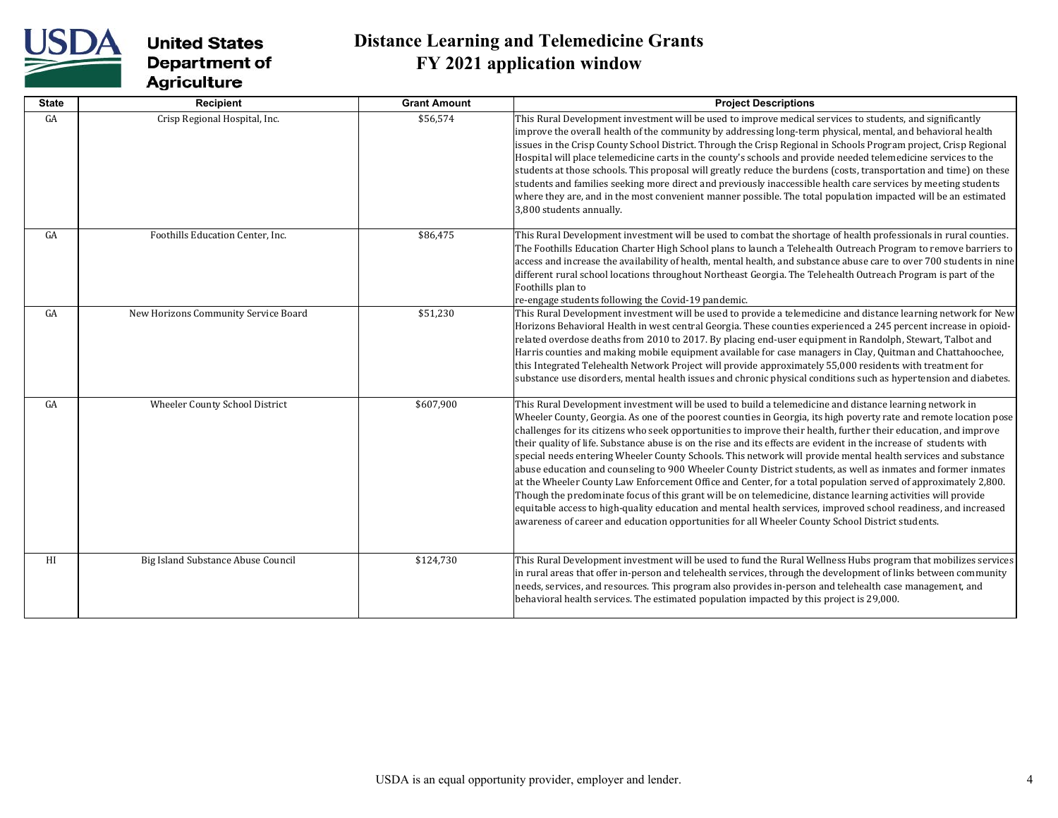

| <b>State</b> | Recipient                            | <b>Grant Amount</b> | <b>Project Descriptions</b>                                                                                                                                                                                                                                                                                                                                                                                                                                                                                                                                                                                                                                                                                                                                                                                                                                                                                                                                                                                                                                                                                                                                         |
|--------------|--------------------------------------|---------------------|---------------------------------------------------------------------------------------------------------------------------------------------------------------------------------------------------------------------------------------------------------------------------------------------------------------------------------------------------------------------------------------------------------------------------------------------------------------------------------------------------------------------------------------------------------------------------------------------------------------------------------------------------------------------------------------------------------------------------------------------------------------------------------------------------------------------------------------------------------------------------------------------------------------------------------------------------------------------------------------------------------------------------------------------------------------------------------------------------------------------------------------------------------------------|
| GA           | Crisp Regional Hospital, Inc.        | \$56,574            | This Rural Development investment will be used to improve medical services to students, and significantly<br>improve the overall health of the community by addressing long-term physical, mental, and behavioral health<br>issues in the Crisp County School District. Through the Crisp Regional in Schools Program project, Crisp Regional<br>Hospital will place telemedicine carts in the county's schools and provide needed telemedicine services to the<br>students at those schools. This proposal will greatly reduce the burdens (costs, transportation and time) on these<br>students and families seeking more direct and previously inaccessible health care services by meeting students<br>where they are, and in the most convenient manner possible. The total population impacted will be an estimated<br>3,800 students annually.                                                                                                                                                                                                                                                                                                               |
| GA           | Foothills Education Center, Inc.     | \$86,475            | This Rural Development investment will be used to combat the shortage of health professionals in rural counties.<br>The Foothills Education Charter High School plans to launch a Telehealth Outreach Program to remove barriers to<br>access and increase the availability of health, mental health, and substance abuse care to over 700 students in nine<br>different rural school locations throughout Northeast Georgia. The Telehealth Outreach Program is part of the<br>Foothills plan to<br>re-engage students following the Covid-19 pandemic.                                                                                                                                                                                                                                                                                                                                                                                                                                                                                                                                                                                                            |
| GA           | New Horizons Community Service Board | \$51,230            | This Rural Development investment will be used to provide a telemedicine and distance learning network for New<br>Horizons Behavioral Health in west central Georgia. These counties experienced a 245 percent increase in opioid-<br>related overdose deaths from 2010 to 2017. By placing end-user equipment in Randolph, Stewart, Talbot and<br>Harris counties and making mobile equipment available for case managers in Clay, Quitman and Chattahoochee,<br>this Integrated Telehealth Network Project will provide approximately 55,000 residents with treatment for<br>substance use disorders, mental health issues and chronic physical conditions such as hypertension and diabetes.                                                                                                                                                                                                                                                                                                                                                                                                                                                                     |
| GA           | Wheeler County School District       | \$607,900           | This Rural Development investment will be used to build a telemedicine and distance learning network in<br>Wheeler County, Georgia. As one of the poorest counties in Georgia, its high poverty rate and remote location pose<br>challenges for its citizens who seek opportunities to improve their health, further their education, and improve<br>their quality of life. Substance abuse is on the rise and its effects are evident in the increase of students with<br>special needs entering Wheeler County Schools. This network will provide mental health services and substance<br>abuse education and counseling to 900 Wheeler County District students, as well as inmates and former inmates<br>at the Wheeler County Law Enforcement Office and Center, for a total population served of approximately 2,800.<br>Though the predominate focus of this grant will be on telemedicine, distance learning activities will provide<br>equitable access to high-quality education and mental health services, improved school readiness, and increased<br>awareness of career and education opportunities for all Wheeler County School District students. |
| HI           | Big Island Substance Abuse Council   | \$124,730           | This Rural Development investment will be used to fund the Rural Wellness Hubs program that mobilizes services<br>in rural areas that offer in-person and telehealth services, through the development of links between community<br>needs, services, and resources. This program also provides in-person and telehealth case management, and<br>behavioral health services. The estimated population impacted by this project is 29,000.                                                                                                                                                                                                                                                                                                                                                                                                                                                                                                                                                                                                                                                                                                                           |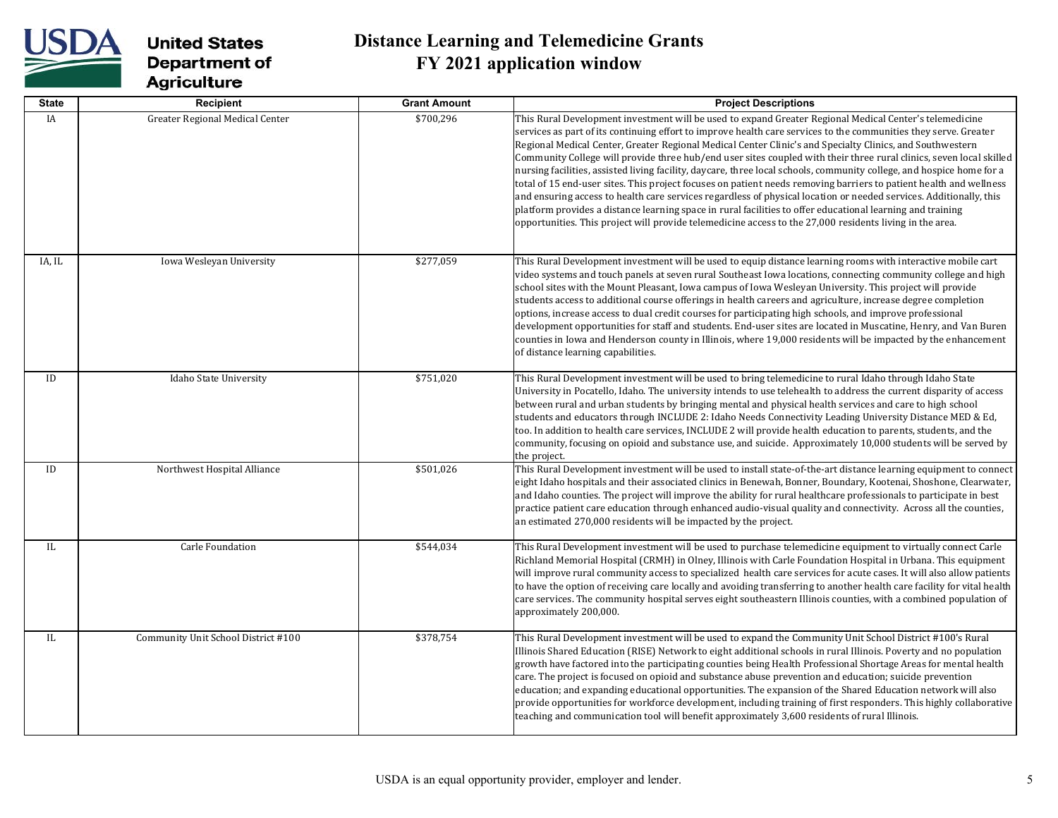

| <b>State</b> | Recipient                              | <b>Grant Amount</b> | <b>Project Descriptions</b>                                                                                                                                                                                                                                                                                                                                                                                                                                                                                                                                                                                                                                                                                                                                                                                                                                                                                                                                                                                                                                    |
|--------------|----------------------------------------|---------------------|----------------------------------------------------------------------------------------------------------------------------------------------------------------------------------------------------------------------------------------------------------------------------------------------------------------------------------------------------------------------------------------------------------------------------------------------------------------------------------------------------------------------------------------------------------------------------------------------------------------------------------------------------------------------------------------------------------------------------------------------------------------------------------------------------------------------------------------------------------------------------------------------------------------------------------------------------------------------------------------------------------------------------------------------------------------|
| <b>IA</b>    | <b>Greater Regional Medical Center</b> | \$700,296           | This Rural Development investment will be used to expand Greater Regional Medical Center's telemedicine<br>services as part of its continuing effort to improve health care services to the communities they serve. Greater<br>Regional Medical Center, Greater Regional Medical Center Clinic's and Specialty Clinics, and Southwestern<br>Community College will provide three hub/end user sites coupled with their three rural clinics, seven local skilled<br>nursing facilities, assisted living facility, daycare, three local schools, community college, and hospice home for a<br>total of 15 end-user sites. This project focuses on patient needs removing barriers to patient health and wellness<br>and ensuring access to health care services regardless of physical location or needed services. Additionally, this<br>platform provides a distance learning space in rural facilities to offer educational learning and training<br>opportunities. This project will provide telemedicine access to the 27,000 residents living in the area. |
| IA, IL       | Iowa Wesleyan University               | \$277,059           | This Rural Development investment will be used to equip distance learning rooms with interactive mobile cart<br>video systems and touch panels at seven rural Southeast Iowa locations, connecting community college and high<br>school sites with the Mount Pleasant, Iowa campus of Iowa Wesleyan University. This project will provide<br>students access to additional course offerings in health careers and agriculture, increase degree completion<br>options, increase access to dual credit courses for participating high schools, and improve professional<br>development opportunities for staff and students. End-user sites are located in Muscatine, Henry, and Van Buren<br>counties in Iowa and Henderson county in Illinois, where 19,000 residents will be impacted by the enhancement<br>of distance learning capabilities.                                                                                                                                                                                                                |
| ID           | Idaho State University                 | \$751,020           | This Rural Development investment will be used to bring telemedicine to rural Idaho through Idaho State<br>University in Pocatello, Idaho. The university intends to use telehealth to address the current disparity of access<br>between rural and urban students by bringing mental and physical health services and care to high school<br>students and educators through INCLUDE 2: Idaho Needs Connectivity Leading University Distance MED & Ed,<br>too. In addition to health care services, INCLUDE 2 will provide health education to parents, students, and the<br>community, focusing on opioid and substance use, and suicide. Approximately 10,000 students will be served by<br>the project.                                                                                                                                                                                                                                                                                                                                                     |
| ID           | Northwest Hospital Alliance            | \$501,026           | This Rural Development investment will be used to install state-of-the-art distance learning equipment to connect<br>eight Idaho hospitals and their associated clinics in Benewah, Bonner, Boundary, Kootenai, Shoshone, Clearwater,<br>and Idaho counties. The project will improve the ability for rural healthcare professionals to participate in best<br>practice patient care education through enhanced audio-visual quality and connectivity. Across all the counties,<br>an estimated 270,000 residents will be impacted by the project.                                                                                                                                                                                                                                                                                                                                                                                                                                                                                                             |
| IL.          | Carle Foundation                       | \$544,034           | This Rural Development investment will be used to purchase telemedicine equipment to virtually connect Carle<br>Richland Memorial Hospital (CRMH) in Olney, Illinois with Carle Foundation Hospital in Urbana. This equipment<br>will improve rural community access to specialized health care services for acute cases. It will also allow patients<br>to have the option of receiving care locally and avoiding transferring to another health care facility for vital health<br>care services. The community hospital serves eight southeastern Illinois counties, with a combined population of<br>approximately 200,000.                                                                                                                                                                                                                                                                                                                                                                                                                                 |
| IL           | Community Unit School District #100    | \$378,754           | This Rural Development investment will be used to expand the Community Unit School District #100's Rural<br>Illinois Shared Education (RISE) Network to eight additional schools in rural Illinois. Poverty and no population<br>growth have factored into the participating counties being Health Professional Shortage Areas for mental health<br>care. The project is focused on opioid and substance abuse prevention and education; suicide prevention<br>education; and expanding educational opportunities. The expansion of the Shared Education network will also<br>provide opportunities for workforce development, including training of first responders. This highly collaborative<br>teaching and communication tool will benefit approximately 3,600 residents of rural Illinois.                                                                                                                                                                                                                                                              |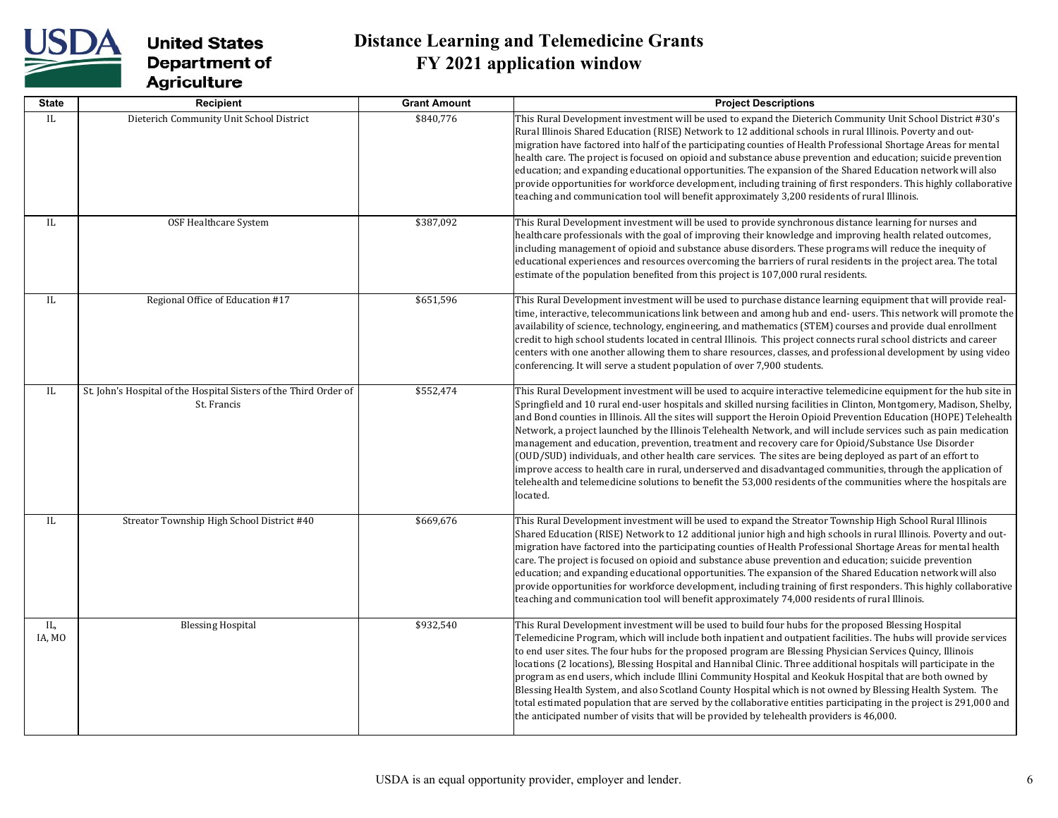

| <b>State</b>  | <b>Recipient</b>                                                                 | <b>Grant Amount</b> | <b>Project Descriptions</b>                                                                                                                                                                                                                                                                                                                                                                                                                                                                                                                                                                                                                                                                                                                                                                                                                                                                                                                               |
|---------------|----------------------------------------------------------------------------------|---------------------|-----------------------------------------------------------------------------------------------------------------------------------------------------------------------------------------------------------------------------------------------------------------------------------------------------------------------------------------------------------------------------------------------------------------------------------------------------------------------------------------------------------------------------------------------------------------------------------------------------------------------------------------------------------------------------------------------------------------------------------------------------------------------------------------------------------------------------------------------------------------------------------------------------------------------------------------------------------|
| IL            | Dieterich Community Unit School District                                         | \$840,776           | This Rural Development investment will be used to expand the Dieterich Community Unit School District #30's<br>Rural Illinois Shared Education (RISE) Network to 12 additional schools in rural Illinois. Poverty and out-<br>migration have factored into half of the participating counties of Health Professional Shortage Areas for mental<br>health care. The project is focused on opioid and substance abuse prevention and education; suicide prevention<br>education; and expanding educational opportunities. The expansion of the Shared Education network will also<br>provide opportunities for workforce development, including training of first responders. This highly collaborative<br>teaching and communication tool will benefit approximately 3,200 residents of rural Illinois.                                                                                                                                                    |
| IL            | OSF Healthcare System                                                            | \$387,092           | This Rural Development investment will be used to provide synchronous distance learning for nurses and<br>healthcare professionals with the goal of improving their knowledge and improving health related outcomes,<br>including management of opioid and substance abuse disorders. These programs will reduce the inequity of<br>educational experiences and resources overcoming the barriers of rural residents in the project area. The total<br>estimate of the population benefited from this project is 107,000 rural residents.                                                                                                                                                                                                                                                                                                                                                                                                                 |
| IL            | Regional Office of Education #17                                                 | \$651,596           | This Rural Development investment will be used to purchase distance learning equipment that will provide real-<br>time, interactive, telecommunications link between and among hub and end-users. This network will promote the<br>availability of science, technology, engineering, and mathematics (STEM) courses and provide dual enrollment<br>credit to high school students located in central Illinois. This project connects rural school districts and career<br>centers with one another allowing them to share resources, classes, and professional development by using video<br>conferencing. It will serve a student population of over 7,900 students.                                                                                                                                                                                                                                                                                     |
| IL            | St. John's Hospital of the Hospital Sisters of the Third Order of<br>St. Francis | \$552,474           | This Rural Development investment will be used to acquire interactive telemedicine equipment for the hub site in<br>Springfield and 10 rural end-user hospitals and skilled nursing facilities in Clinton, Montgomery, Madison, Shelby,<br>and Bond counties in Illinois. All the sites will support the Heroin Opioid Prevention Education (HOPE) Telehealth<br>Network, a project launched by the Illinois Telehealth Network, and will include services such as pain medication<br>management and education, prevention, treatment and recovery care for Opioid/Substance Use Disorder<br>(OUD/SUD) individuals, and other health care services. The sites are being deployed as part of an effort to<br>improve access to health care in rural, underserved and disadvantaged communities, through the application of<br>telehealth and telemedicine solutions to benefit the 53,000 residents of the communities where the hospitals are<br>located. |
| IL.           | Streator Township High School District #40                                       | \$669,676           | This Rural Development investment will be used to expand the Streator Township High School Rural Illinois<br>Shared Education (RISE) Network to 12 additional junior high and high schools in rural Illinois. Poverty and out-<br>migration have factored into the participating counties of Health Professional Shortage Areas for mental health<br>care. The project is focused on opioid and substance abuse prevention and education; suicide prevention<br>education; and expanding educational opportunities. The expansion of the Shared Education network will also<br>provide opportunities for workforce development, including training of first responders. This highly collaborative<br>teaching and communication tool will benefit approximately 74,000 residents of rural Illinois.                                                                                                                                                       |
| IL,<br>IA, MO | <b>Blessing Hospital</b>                                                         | \$932,540           | This Rural Development investment will be used to build four hubs for the proposed Blessing Hospital<br>Telemedicine Program, which will include both inpatient and outpatient facilities. The hubs will provide services<br>to end user sites. The four hubs for the proposed program are Blessing Physician Services Quincy, Illinois<br>locations (2 locations), Blessing Hospital and Hannibal Clinic. Three additional hospitals will participate in the<br>program as end users, which include Illini Community Hospital and Keokuk Hospital that are both owned by<br>Blessing Health System, and also Scotland County Hospital which is not owned by Blessing Health System. The<br>total estimated population that are served by the collaborative entities participating in the project is 291,000 and<br>the anticipated number of visits that will be provided by telehealth providers is 46,000.                                             |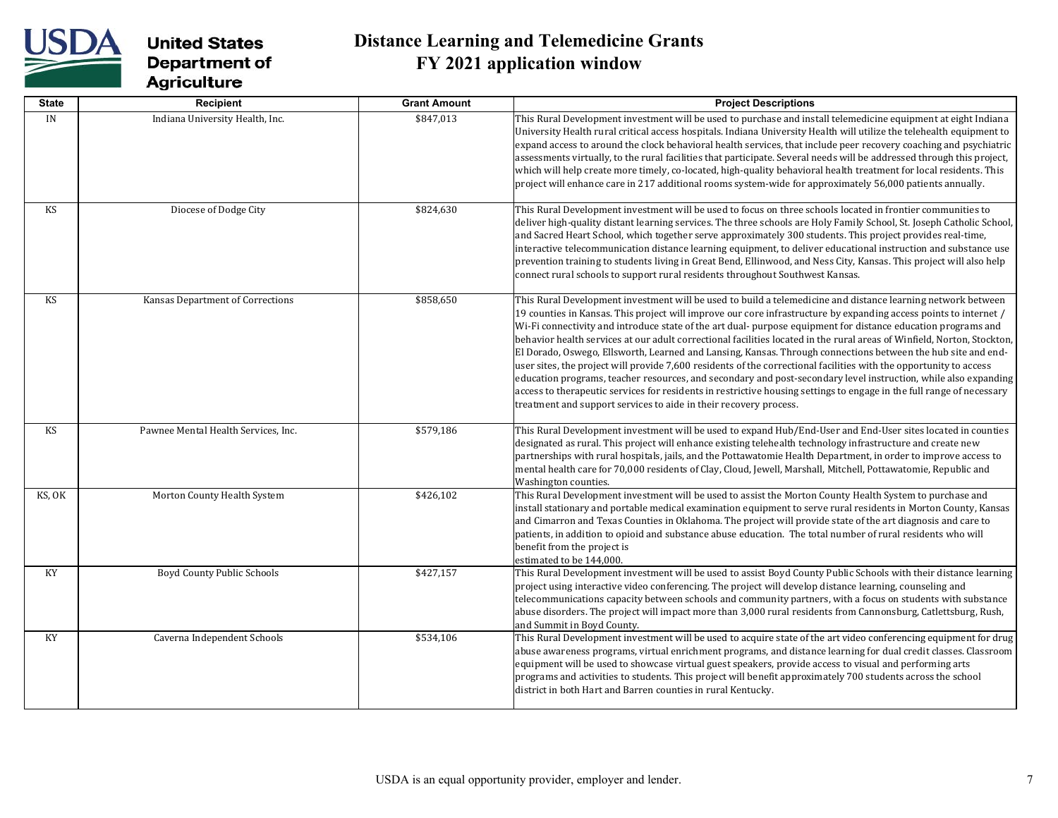

| <b>State</b> | Recipient                           | <b>Grant Amount</b> | <b>Project Descriptions</b>                                                                                                                                                                                                                                                                                                                                                                                                                                                                                                                                                                                                                                                                                                                                                                                                                                                                                                                                                                                                          |
|--------------|-------------------------------------|---------------------|--------------------------------------------------------------------------------------------------------------------------------------------------------------------------------------------------------------------------------------------------------------------------------------------------------------------------------------------------------------------------------------------------------------------------------------------------------------------------------------------------------------------------------------------------------------------------------------------------------------------------------------------------------------------------------------------------------------------------------------------------------------------------------------------------------------------------------------------------------------------------------------------------------------------------------------------------------------------------------------------------------------------------------------|
| IN           | Indiana University Health, Inc.     | \$847,013           | This Rural Development investment will be used to purchase and install telemedicine equipment at eight Indiana<br>University Health rural critical access hospitals. Indiana University Health will utilize the telehealth equipment to<br>expand access to around the clock behavioral health services, that include peer recovery coaching and psychiatric<br>assessments virtually, to the rural facilities that participate. Several needs will be addressed through this project,<br>which will help create more timely, co-located, high-quality behavioral health treatment for local residents. This<br>project will enhance care in 217 additional rooms system-wide for approximately 56,000 patients annually.                                                                                                                                                                                                                                                                                                            |
| <b>KS</b>    | Diocese of Dodge City               | \$824,630           | This Rural Development investment will be used to focus on three schools located in frontier communities to<br>deliver high-quality distant learning services. The three schools are Holy Family School, St. Joseph Catholic School,<br>and Sacred Heart School, which together serve approximately 300 students. This project provides real-time,<br>interactive telecommunication distance learning equipment, to deliver educational instruction and substance use<br>prevention training to students living in Great Bend, Ellinwood, and Ness City, Kansas. This project will also help<br>connect rural schools to support rural residents throughout Southwest Kansas.                                                                                                                                                                                                                                                                                                                                                        |
| <b>KS</b>    | Kansas Department of Corrections    | \$858,650           | This Rural Development investment will be used to build a telemedicine and distance learning network between<br>19 counties in Kansas. This project will improve our core infrastructure by expanding access points to internet /<br>Wi-Fi connectivity and introduce state of the art dual- purpose equipment for distance education programs and<br>behavior health services at our adult correctional facilities located in the rural areas of Winfield, Norton, Stockton,<br>El Dorado, Oswego, Ellsworth, Learned and Lansing, Kansas. Through connections between the hub site and end-<br>user sites, the project will provide 7,600 residents of the correctional facilities with the opportunity to access<br>education programs, teacher resources, and secondary and post-secondary level instruction, while also expanding<br>access to therapeutic services for residents in restrictive housing settings to engage in the full range of necessary<br>treatment and support services to aide in their recovery process. |
| <b>KS</b>    | Pawnee Mental Health Services, Inc. | \$579,186           | This Rural Development investment will be used to expand Hub/End-User and End-User sites located in counties<br>designated as rural. This project will enhance existing telehealth technology infrastructure and create new<br>partnerships with rural hospitals, jails, and the Pottawatomie Health Department, in order to improve access to<br>mental health care for 70,000 residents of Clay, Cloud, Jewell, Marshall, Mitchell, Pottawatomie, Republic and<br>Washington counties.                                                                                                                                                                                                                                                                                                                                                                                                                                                                                                                                             |
| KS, OK       | Morton County Health System         | \$426,102           | This Rural Development investment will be used to assist the Morton County Health System to purchase and<br>install stationary and portable medical examination equipment to serve rural residents in Morton County, Kansas<br>and Cimarron and Texas Counties in Oklahoma. The project will provide state of the art diagnosis and care to<br>patients, in addition to opioid and substance abuse education. The total number of rural residents who will<br>benefit from the project is<br>estimated to be 144,000.                                                                                                                                                                                                                                                                                                                                                                                                                                                                                                                |
| KY           | Boyd County Public Schools          | \$427,157           | This Rural Development investment will be used to assist Boyd County Public Schools with their distance learning<br>project using interactive video conferencing. The project will develop distance learning, counseling and<br>telecommunications capacity between schools and community partners, with a focus on students with substance<br>abuse disorders. The project will impact more than 3,000 rural residents from Cannonsburg, Catlettsburg, Rush,<br>and Summit in Boyd County.                                                                                                                                                                                                                                                                                                                                                                                                                                                                                                                                          |
| KY           | Caverna Independent Schools         | \$534,106           | This Rural Development investment will be used to acquire state of the art video conferencing equipment for drug<br>abuse awareness programs, virtual enrichment programs, and distance learning for dual credit classes. Classroom<br>equipment will be used to showcase virtual guest speakers, provide access to visual and performing arts<br>programs and activities to students. This project will benefit approximately 700 students across the school<br>district in both Hart and Barren counties in rural Kentucky.                                                                                                                                                                                                                                                                                                                                                                                                                                                                                                        |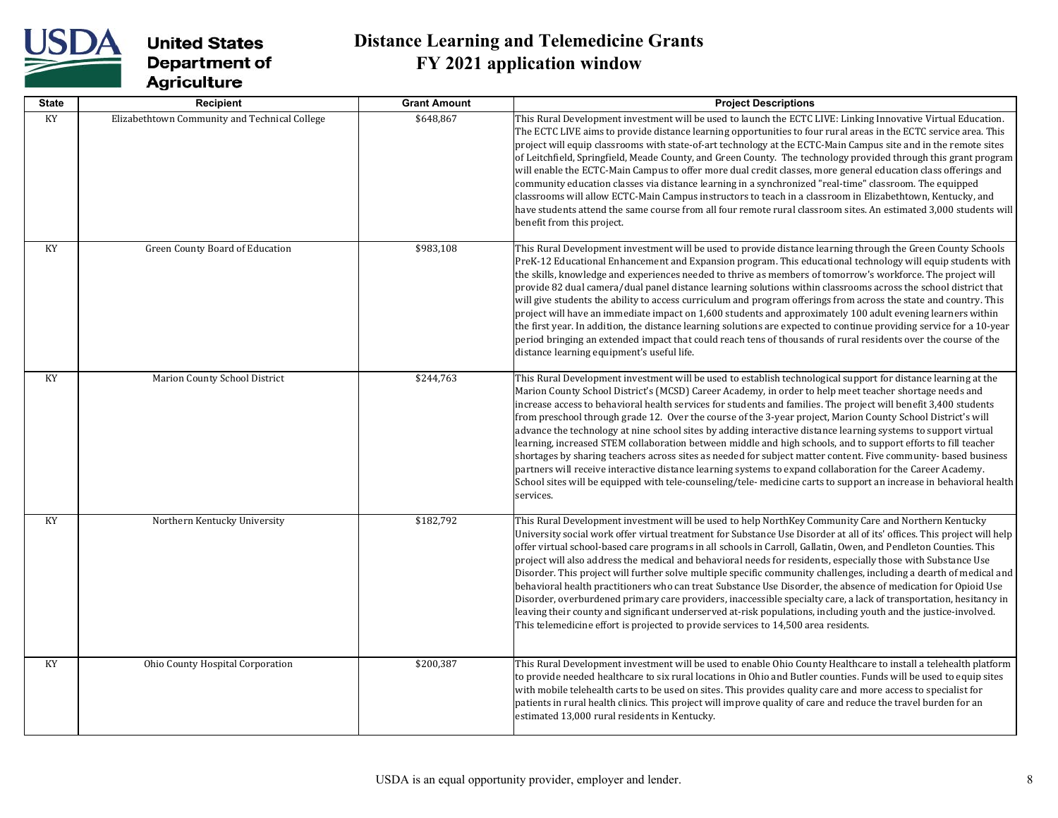

| <b>State</b> | Recipient                                     | <b>Grant Amount</b> | <b>Project Descriptions</b>                                                                                                                                                                                                                                                                                                                                                                                                                                                                                                                                                                                                                                                                                                                                                                                                                                                                                                                                                                                                                                            |
|--------------|-----------------------------------------------|---------------------|------------------------------------------------------------------------------------------------------------------------------------------------------------------------------------------------------------------------------------------------------------------------------------------------------------------------------------------------------------------------------------------------------------------------------------------------------------------------------------------------------------------------------------------------------------------------------------------------------------------------------------------------------------------------------------------------------------------------------------------------------------------------------------------------------------------------------------------------------------------------------------------------------------------------------------------------------------------------------------------------------------------------------------------------------------------------|
| KY           | Elizabethtown Community and Technical College | \$648,867           | This Rural Development investment will be used to launch the ECTC LIVE: Linking Innovative Virtual Education.<br>The ECTC LIVE aims to provide distance learning opportunities to four rural areas in the ECTC service area. This<br>project will equip classrooms with state-of-art technology at the ECTC-Main Campus site and in the remote sites<br>of Leitchfield, Springfield, Meade County, and Green County. The technology provided through this grant program<br>will enable the ECTC-Main Campus to offer more dual credit classes, more general education class offerings and<br>community education classes via distance learning in a synchronized "real-time" classroom. The equipped<br>classrooms will allow ECTC-Main Campus instructors to teach in a classroom in Elizabethtown, Kentucky, and<br>have students attend the same course from all four remote rural classroom sites. An estimated 3,000 students will<br>benefit from this project.                                                                                                  |
| KY           | Green County Board of Education               | \$983,108           | This Rural Development investment will be used to provide distance learning through the Green County Schools<br>PreK-12 Educational Enhancement and Expansion program. This educational technology will equip students with<br>the skills, knowledge and experiences needed to thrive as members of tomorrow's workforce. The project will<br>provide 82 dual camera/dual panel distance learning solutions within classrooms across the school district that<br>will give students the ability to access curriculum and program offerings from across the state and country. This<br>project will have an immediate impact on 1,600 students and approximately 100 adult evening learners within<br>the first year. In addition, the distance learning solutions are expected to continue providing service for a 10-year<br>period bringing an extended impact that could reach tens of thousands of rural residents over the course of the<br>distance learning equipment's useful life.                                                                            |
| KY           | Marion County School District                 | \$244,763           | This Rural Development investment will be used to establish technological support for distance learning at the<br>Marion County School District's (MCSD) Career Academy, in order to help meet teacher shortage needs and<br>increase access to behavioral health services for students and families. The project will benefit 3,400 students<br>from preschool through grade 12. Over the course of the 3-year project, Marion County School District's will<br>advance the technology at nine school sites by adding interactive distance learning systems to support virtual<br>learning, increased STEM collaboration between middle and high schools, and to support efforts to fill teacher<br>shortages by sharing teachers across sites as needed for subject matter content. Five community-based business<br>partners will receive interactive distance learning systems to expand collaboration for the Career Academy.<br>School sites will be equipped with tele-counseling/tele- medicine carts to support an increase in behavioral health<br>services. |
| KY           | Northern Kentucky University                  | \$182,792           | This Rural Development investment will be used to help NorthKey Community Care and Northern Kentucky<br>University social work offer virtual treatment for Substance Use Disorder at all of its' offices. This project will help<br>offer virtual school-based care programs in all schools in Carroll, Gallatin, Owen, and Pendleton Counties. This<br>project will also address the medical and behavioral needs for residents, especially those with Substance Use<br>Disorder. This project will further solve multiple specific community challenges, including a dearth of medical and<br>behavioral health practitioners who can treat Substance Use Disorder, the absence of medication for Opioid Use<br>Disorder, overburdened primary care providers, inaccessible specialty care, a lack of transportation, hesitancy in<br>leaving their county and significant underserved at-risk populations, including youth and the justice-involved.<br>This telemedicine effort is projected to provide services to 14,500 area residents.                         |
| KY           | Ohio County Hospital Corporation              | \$200,387           | This Rural Development investment will be used to enable Ohio County Healthcare to install a telehealth platform<br>to provide needed healthcare to six rural locations in Ohio and Butler counties. Funds will be used to equip sites<br>with mobile telehealth carts to be used on sites. This provides quality care and more access to specialist for<br>patients in rural health clinics. This project will improve quality of care and reduce the travel burden for an<br>estimated 13,000 rural residents in Kentucky.                                                                                                                                                                                                                                                                                                                                                                                                                                                                                                                                           |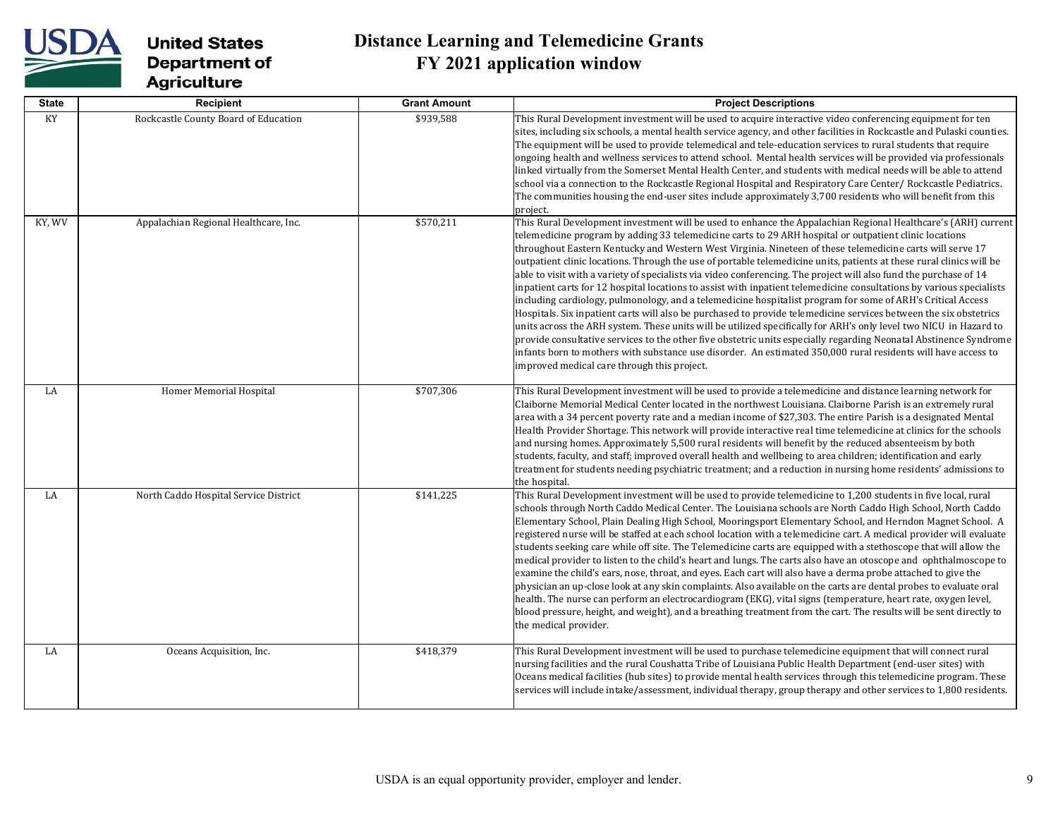

| <b>State</b> | Recipient                             | <b>Grant Amount</b> | <b>Project Descriptions</b>                                                                                                                                                                                                                                                                                                                                                                                                                                                                                                                                                                                                                                                                                                                                                                                                                                                                                                                                                                                                                                                                                                                                                                                                                                                                                                                             |
|--------------|---------------------------------------|---------------------|---------------------------------------------------------------------------------------------------------------------------------------------------------------------------------------------------------------------------------------------------------------------------------------------------------------------------------------------------------------------------------------------------------------------------------------------------------------------------------------------------------------------------------------------------------------------------------------------------------------------------------------------------------------------------------------------------------------------------------------------------------------------------------------------------------------------------------------------------------------------------------------------------------------------------------------------------------------------------------------------------------------------------------------------------------------------------------------------------------------------------------------------------------------------------------------------------------------------------------------------------------------------------------------------------------------------------------------------------------|
| KY           | Rockcastle County Board of Education  | \$939,588           | This Rural Development investment will be used to acquire interactive video conferencing equipment for ten<br>sites, including six schools, a mental health service agency, and other facilities in Rockcastle and Pulaski counties.<br>The equipment will be used to provide telemedical and tele-education services to rural students that require<br>ongoing health and wellness services to attend school. Mental health services will be provided via professionals<br>linked virtually from the Somerset Mental Health Center, and students with medical needs will be able to attend<br>school via a connection to the Rockcastle Regional Hospital and Respiratory Care Center/Rockcastle Pediatrics.<br>The communities housing the end-user sites include approximately 3,700 residents who will benefit from this<br>project.                                                                                                                                                                                                                                                                                                                                                                                                                                                                                                                |
| KY, WV       | Appalachian Regional Healthcare, Inc. | \$570,211           | This Rural Development investment will be used to enhance the Appalachian Regional Healthcare's (ARH) current<br>telemedicine program by adding 33 telemedicine carts to 29 ARH hospital or outpatient clinic locations<br>throughout Eastern Kentucky and Western West Virginia. Nineteen of these telemedicine carts will serve 17<br>outpatient clinic locations. Through the use of portable telemedicine units, patients at these rural clinics will be<br>able to visit with a variety of specialists via video conferencing. The project will also fund the purchase of 14<br>inpatient carts for 12 hospital locations to assist with inpatient telemedicine consultations by various specialists<br>including cardiology, pulmonology, and a telemedicine hospitalist program for some of ARH's Critical Access<br>Hospitals. Six inpatient carts will also be purchased to provide telemedicine services between the six obstetrics<br>units across the ARH system. These units will be utilized specifically for ARH's only level two NICU in Hazard to<br>provide consultative services to the other five obstetric units especially regarding Neonatal Abstinence Syndrome<br>infants born to mothers with substance use disorder. An estimated 350,000 rural residents will have access to<br>improved medical care through this project. |
| LA           | Homer Memorial Hospital               | \$707,306           | This Rural Development investment will be used to provide a telemedicine and distance learning network for<br>Claiborne Memorial Medical Center located in the northwest Louisiana. Claiborne Parish is an extremely rural<br>area with a 34 percent poverty rate and a median income of \$27,303. The entire Parish is a designated Mental<br>Health Provider Shortage. This network will provide interactive real time telemedicine at clinics for the schools<br>and nursing homes. Approximately 5,500 rural residents will benefit by the reduced absenteeism by both<br>students, faculty, and staff; improved overall health and wellbeing to area children; identification and early<br>treatment for students needing psychiatric treatment; and a reduction in nursing home residents' admissions to<br>the hospital.                                                                                                                                                                                                                                                                                                                                                                                                                                                                                                                         |
| LA           | North Caddo Hospital Service District | \$141,225           | This Rural Development investment will be used to provide telemedicine to 1,200 students in five local, rural<br>schools through North Caddo Medical Center. The Louisiana schools are North Caddo High School, North Caddo<br>Elementary School, Plain Dealing High School, Mooringsport Elementary School, and Herndon Magnet School. A<br>registered nurse will be staffed at each school location with a telemedicine cart. A medical provider will evaluate<br>students seeking care while off site. The Telemedicine carts are equipped with a stethoscope that will allow the<br>medical provider to listen to the child's heart and lungs. The carts also have an otoscope and ophthalmoscope to<br>examine the child's ears, nose, throat, and eyes. Each cart will also have a derma probe attached to give the<br>physician an up-close look at any skin complaints. Also available on the carts are dental probes to evaluate oral<br>health. The nurse can perform an electrocardiogram (EKG), vital signs (temperature, heart rate, oxygen level,<br>blood pressure, height, and weight), and a breathing treatment from the cart. The results will be sent directly to<br>the medical provider.                                                                                                                                          |
| LA           | Oceans Acquisition, Inc.              | \$418,379           | This Rural Development investment will be used to purchase telemedicine equipment that will connect rural<br>nursing facilities and the rural Coushatta Tribe of Louisiana Public Health Department (end-user sites) with<br>Oceans medical facilities (hub sites) to provide mental health services through this telemedicine program. These<br>services will include intake/assessment, individual therapy, group therapy and other services to 1,800 residents.                                                                                                                                                                                                                                                                                                                                                                                                                                                                                                                                                                                                                                                                                                                                                                                                                                                                                      |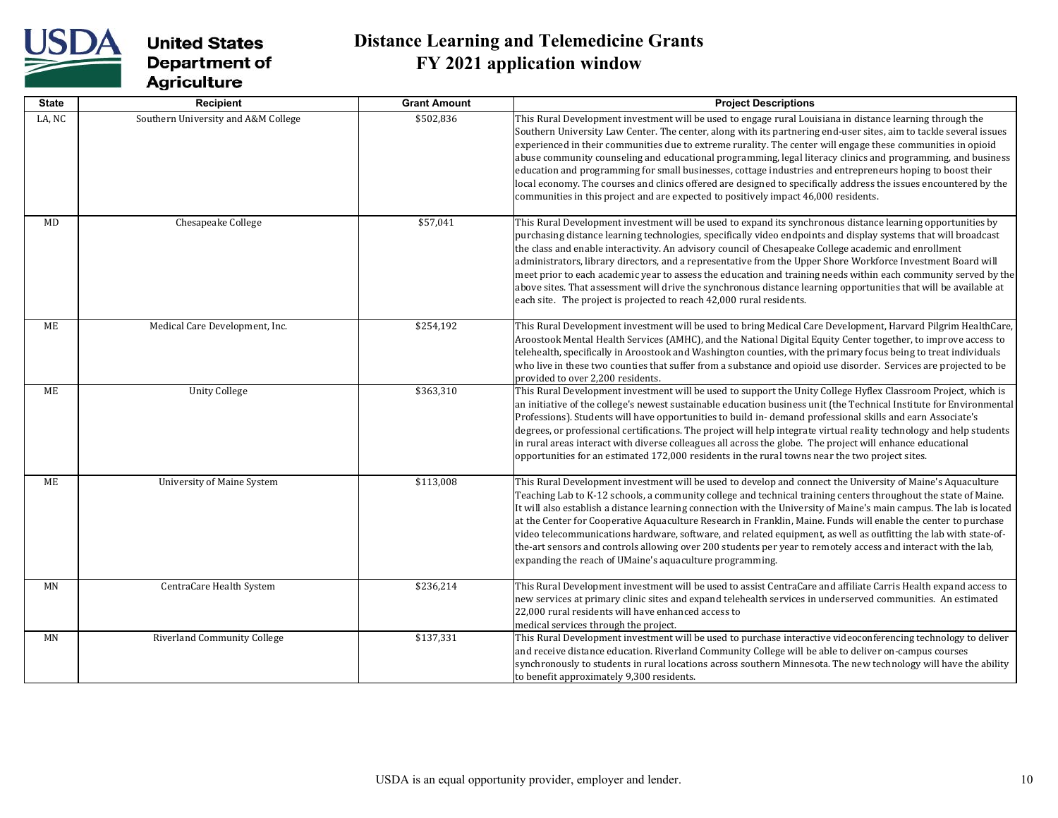

| <b>State</b> | Recipient                           | <b>Grant Amount</b> | <b>Project Descriptions</b>                                                                                                                                                                                                                                                                                                                                                                                                                                                                                                                                                                                                                                                                                                                                                               |
|--------------|-------------------------------------|---------------------|-------------------------------------------------------------------------------------------------------------------------------------------------------------------------------------------------------------------------------------------------------------------------------------------------------------------------------------------------------------------------------------------------------------------------------------------------------------------------------------------------------------------------------------------------------------------------------------------------------------------------------------------------------------------------------------------------------------------------------------------------------------------------------------------|
| LA, NC       | Southern University and A&M College | \$502,836           | This Rural Development investment will be used to engage rural Louisiana in distance learning through the<br>Southern University Law Center. The center, along with its partnering end-user sites, aim to tackle several issues<br>experienced in their communities due to extreme rurality. The center will engage these communities in opioid<br>abuse community counseling and educational programming, legal literacy clinics and programming, and business<br>education and programming for small businesses, cottage industries and entrepreneurs hoping to boost their<br>local economy. The courses and clinics offered are designed to specifically address the issues encountered by the<br>communities in this project and are expected to positively impact 46,000 residents. |
| <b>MD</b>    | Chesapeake College                  | \$57,041            | This Rural Development investment will be used to expand its synchronous distance learning opportunities by<br>purchasing distance learning technologies, specifically video endpoints and display systems that will broadcast<br>the class and enable interactivity. An advisory council of Chesapeake College academic and enrollment<br>administrators, library directors, and a representative from the Upper Shore Workforce Investment Board will<br>meet prior to each academic year to assess the education and training needs within each community served by the<br>above sites. That assessment will drive the synchronous distance learning opportunities that will be available at<br>each site. The project is projected to reach 42,000 rural residents.                   |
| <b>ME</b>    | Medical Care Development, Inc.      | \$254,192           | This Rural Development investment will be used to bring Medical Care Development, Harvard Pilgrim HealthCare,<br>Aroostook Mental Health Services (AMHC), and the National Digital Equity Center together, to improve access to<br>telehealth, specifically in Aroostook and Washington counties, with the primary focus being to treat individuals<br>who live in these two counties that suffer from a substance and opioid use disorder. Services are projected to be<br>provided to over 2,200 residents.                                                                                                                                                                                                                                                                             |
| ME           | <b>Unity College</b>                | \$363,310           | This Rural Development investment will be used to support the Unity College Hyflex Classroom Project, which is<br>an initiative of the college's newest sustainable education business unit (the Technical Institute for Environmental<br>Professions). Students will have opportunities to build in-demand professional skills and earn Associate's<br>degrees, or professional certifications. The project will help integrate virtual reality technology and help students<br>in rural areas interact with diverse colleagues all across the globe. The project will enhance educational<br>opportunities for an estimated 172,000 residents in the rural towns near the two project sites.                                                                                            |
| <b>ME</b>    | University of Maine System          | \$113,008           | This Rural Development investment will be used to develop and connect the University of Maine's Aquaculture<br>Teaching Lab to K-12 schools, a community college and technical training centers throughout the state of Maine.<br>It will also establish a distance learning connection with the University of Maine's main campus. The lab is located<br>at the Center for Cooperative Aquaculture Research in Franklin, Maine. Funds will enable the center to purchase<br>video telecommunications hardware, software, and related equipment, as well as outfitting the lab with state-of-<br>the-art sensors and controls allowing over 200 students per year to remotely access and interact with the lab,<br>expanding the reach of UMaine's aquaculture programming.               |
| <b>MN</b>    | CentraCare Health System            | \$236,214           | This Rural Development investment will be used to assist CentraCare and affiliate Carris Health expand access to<br>new services at primary clinic sites and expand telehealth services in underserved communities. An estimated<br>22,000 rural residents will have enhanced access to<br>medical services through the project.                                                                                                                                                                                                                                                                                                                                                                                                                                                          |
| <b>MN</b>    | <b>Riverland Community College</b>  | \$137,331           | This Rural Development investment will be used to purchase interactive videoconferencing technology to deliver<br>and receive distance education. Riverland Community College will be able to deliver on-campus courses<br>synchronously to students in rural locations across southern Minnesota. The new technology will have the ability<br>to benefit approximately 9,300 residents.                                                                                                                                                                                                                                                                                                                                                                                                  |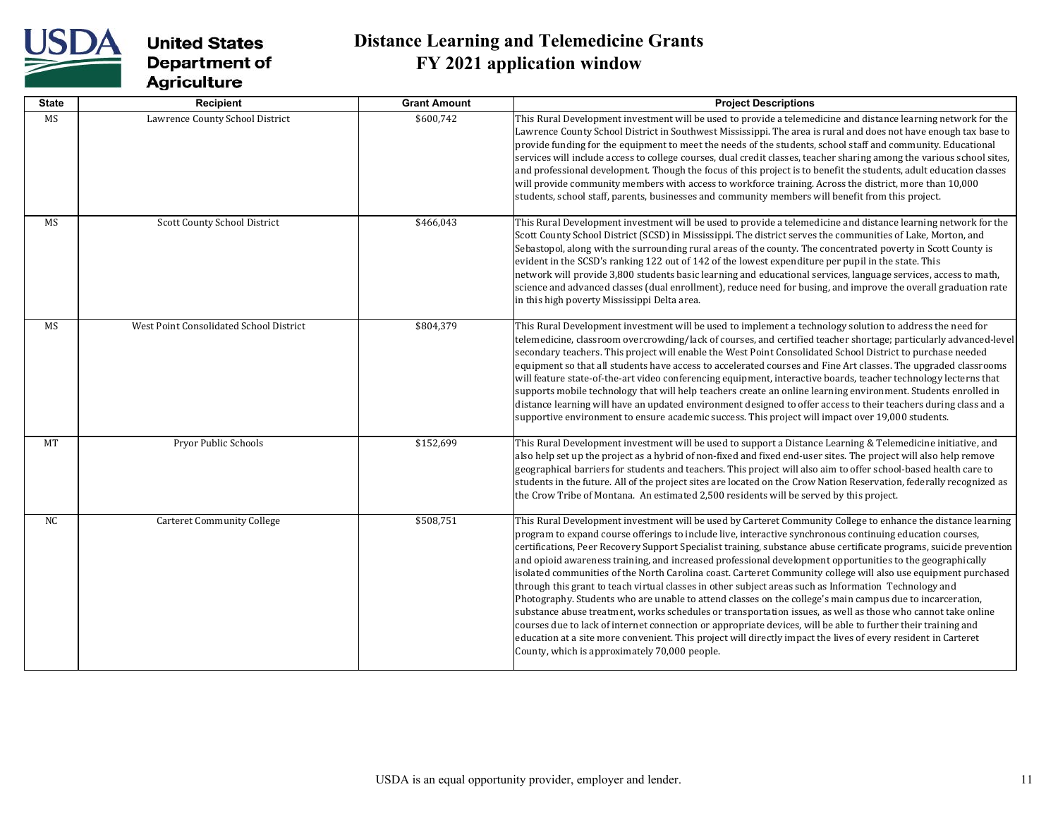

| <b>State</b> | <b>Recipient</b>                        | <b>Grant Amount</b> | <b>Project Descriptions</b>                                                                                                                                                                                                                                                                                                                                                                                                                                                                                                                                                                                                                                                                                                                                                                                                                                                                                                                                                                                                                                                                                                                                                                                |
|--------------|-----------------------------------------|---------------------|------------------------------------------------------------------------------------------------------------------------------------------------------------------------------------------------------------------------------------------------------------------------------------------------------------------------------------------------------------------------------------------------------------------------------------------------------------------------------------------------------------------------------------------------------------------------------------------------------------------------------------------------------------------------------------------------------------------------------------------------------------------------------------------------------------------------------------------------------------------------------------------------------------------------------------------------------------------------------------------------------------------------------------------------------------------------------------------------------------------------------------------------------------------------------------------------------------|
| MS           | Lawrence County School District         | \$600,742           | This Rural Development investment will be used to provide a telemedicine and distance learning network for the<br>Lawrence County School District in Southwest Mississippi. The area is rural and does not have enough tax base to<br>provide funding for the equipment to meet the needs of the students, school staff and community. Educational<br>services will include access to college courses, dual credit classes, teacher sharing among the various school sites,<br>and professional development. Though the focus of this project is to benefit the students, adult education classes<br>will provide community members with access to workforce training. Across the district, more than 10,000<br>students, school staff, parents, businesses and community members will benefit from this project.                                                                                                                                                                                                                                                                                                                                                                                          |
| <b>MS</b>    | Scott County School District            | \$466,043           | This Rural Development investment will be used to provide a telemedicine and distance learning network for the<br>Scott County School District (SCSD) in Mississippi. The district serves the communities of Lake, Morton, and<br>Sebastopol, along with the surrounding rural areas of the county. The concentrated poverty in Scott County is<br>evident in the SCSD's ranking 122 out of 142 of the lowest expenditure per pupil in the state. This<br>network will provide 3,800 students basic learning and educational services, language services, access to math,<br>science and advanced classes (dual enrollment), reduce need for busing, and improve the overall graduation rate<br>in this high poverty Mississippi Delta area.                                                                                                                                                                                                                                                                                                                                                                                                                                                               |
| MS           | West Point Consolidated School District | \$804,379           | This Rural Development investment will be used to implement a technology solution to address the need for<br>telemedicine, classroom overcrowding/lack of courses, and certified teacher shortage; particularly advanced-level<br>secondary teachers. This project will enable the West Point Consolidated School District to purchase needed<br>equipment so that all students have access to accelerated courses and Fine Art classes. The upgraded classrooms<br>will feature state-of-the-art video conferencing equipment, interactive boards, teacher technology lecterns that<br>supports mobile technology that will help teachers create an online learning environment. Students enrolled in<br>distance learning will have an updated environment designed to offer access to their teachers during class and a<br>supportive environment to ensure academic success. This project will impact over 19,000 students.                                                                                                                                                                                                                                                                            |
| MT           | Pryor Public Schools                    | \$152,699           | This Rural Development investment will be used to support a Distance Learning & Telemedicine initiative, and<br>also help set up the project as a hybrid of non-fixed and fixed end-user sites. The project will also help remove<br>geographical barriers for students and teachers. This project will also aim to offer school-based health care to<br>students in the future. All of the project sites are located on the Crow Nation Reservation, federally recognized as<br>the Crow Tribe of Montana. An estimated 2,500 residents will be served by this project.                                                                                                                                                                                                                                                                                                                                                                                                                                                                                                                                                                                                                                   |
| <b>NC</b>    | <b>Carteret Community College</b>       | \$508,751           | This Rural Development investment will be used by Carteret Community College to enhance the distance learning<br>program to expand course offerings to include live, interactive synchronous continuing education courses,<br>certifications, Peer Recovery Support Specialist training, substance abuse certificate programs, suicide prevention<br>and opioid awareness training, and increased professional development opportunities to the geographically<br>isolated communities of the North Carolina coast. Carteret Community college will also use equipment purchased<br>through this grant to teach virtual classes in other subject areas such as Information Technology and<br>Photography. Students who are unable to attend classes on the college's main campus due to incarceration,<br>substance abuse treatment, works schedules or transportation issues, as well as those who cannot take online<br>courses due to lack of internet connection or appropriate devices, will be able to further their training and<br>education at a site more convenient. This project will directly impact the lives of every resident in Carteret<br>County, which is approximately 70,000 people. |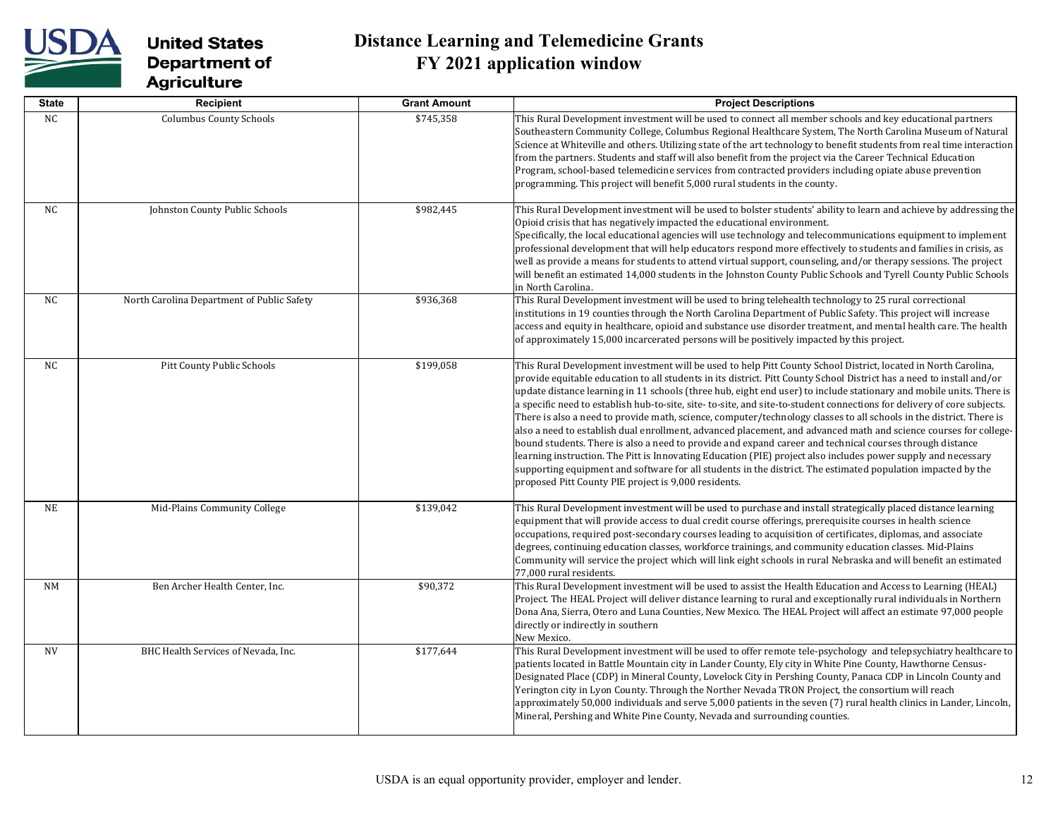

| <b>State</b> | Recipient                                  | <b>Grant Amount</b> | <b>Project Descriptions</b>                                                                                                                                                                                                                                                                                                                                                                                                                                                                                                                                                                                                                                                                                                                                                                                                                                                                                                                                                                                                                                                                                                              |
|--------------|--------------------------------------------|---------------------|------------------------------------------------------------------------------------------------------------------------------------------------------------------------------------------------------------------------------------------------------------------------------------------------------------------------------------------------------------------------------------------------------------------------------------------------------------------------------------------------------------------------------------------------------------------------------------------------------------------------------------------------------------------------------------------------------------------------------------------------------------------------------------------------------------------------------------------------------------------------------------------------------------------------------------------------------------------------------------------------------------------------------------------------------------------------------------------------------------------------------------------|
| NC           | <b>Columbus County Schools</b>             | \$745,358           | This Rural Development investment will be used to connect all member schools and key educational partners<br>Southeastern Community College, Columbus Regional Healthcare System, The North Carolina Museum of Natural<br>Science at Whiteville and others. Utilizing state of the art technology to benefit students from real time interaction<br>from the partners. Students and staff will also benefit from the project via the Career Technical Education<br>Program, school-based telemedicine services from contracted providers including opiate abuse prevention<br>programming. This project will benefit 5,000 rural students in the county.                                                                                                                                                                                                                                                                                                                                                                                                                                                                                 |
| NC           | Johnston County Public Schools             | \$982,445           | This Rural Development investment will be used to bolster students' ability to learn and achieve by addressing the<br>Opioid crisis that has negatively impacted the educational environment.<br>Specifically, the local educational agencies will use technology and telecommunications equipment to implement<br>professional development that will help educators respond more effectively to students and families in crisis, as<br>well as provide a means for students to attend virtual support, counseling, and/or therapy sessions. The project<br>will benefit an estimated 14,000 students in the Johnston County Public Schools and Tyrell County Public Schools<br>in North Carolina.                                                                                                                                                                                                                                                                                                                                                                                                                                       |
| NC           | North Carolina Department of Public Safety | \$936,368           | This Rural Development investment will be used to bring telehealth technology to 25 rural correctional<br>institutions in 19 counties through the North Carolina Department of Public Safety. This project will increase<br>access and equity in healthcare, opioid and substance use disorder treatment, and mental health care. The health<br>of approximately 15,000 incarcerated persons will be positively impacted by this project.                                                                                                                                                                                                                                                                                                                                                                                                                                                                                                                                                                                                                                                                                                |
| NC.          | Pitt County Public Schools                 | \$199,058           | This Rural Development investment will be used to help Pitt County School District, located in North Carolina,<br>provide equitable education to all students in its district. Pitt County School District has a need to install and/or<br>update distance learning in 11 schools (three hub, eight end user) to include stationary and mobile units. There is<br>a specific need to establish hub-to-site, site-to-site, and site-to-student connections for delivery of core subjects.<br>There is also a need to provide math, science, computer/technology classes to all schools in the district. There is<br>also a need to establish dual enrollment, advanced placement, and advanced math and science courses for college-<br>bound students. There is also a need to provide and expand career and technical courses through distance<br>learning instruction. The Pitt is Innovating Education (PIE) project also includes power supply and necessary<br>supporting equipment and software for all students in the district. The estimated population impacted by the<br>proposed Pitt County PIE project is 9,000 residents. |
| <b>NE</b>    | Mid-Plains Community College               | \$139,042           | This Rural Development investment will be used to purchase and install strategically placed distance learning<br>equipment that will provide access to dual credit course offerings, prerequisite courses in health science<br>occupations, required post-secondary courses leading to acquisition of certificates, diplomas, and associate<br>degrees, continuing education classes, workforce trainings, and community education classes. Mid-Plains<br>Community will service the project which will link eight schools in rural Nebraska and will benefit an estimated<br>77,000 rural residents.                                                                                                                                                                                                                                                                                                                                                                                                                                                                                                                                    |
| <b>NM</b>    | Ben Archer Health Center, Inc.             | \$90,372            | This Rural Development investment will be used to assist the Health Education and Access to Learning (HEAL)<br>Project. The HEAL Project will deliver distance learning to rural and exceptionally rural individuals in Northern<br>Dona Ana, Sierra, Otero and Luna Counties, New Mexico. The HEAL Project will affect an estimate 97,000 people<br>directly or indirectly in southern<br>New Mexico.                                                                                                                                                                                                                                                                                                                                                                                                                                                                                                                                                                                                                                                                                                                                   |
| <b>NV</b>    | BHC Health Services of Nevada, Inc.        | \$177,644           | This Rural Development investment will be used to offer remote tele-psychology and telepsychiatry healthcare to<br>patients located in Battle Mountain city in Lander County, Ely city in White Pine County, Hawthorne Census-<br>Designated Place (CDP) in Mineral County, Lovelock City in Pershing County, Panaca CDP in Lincoln County and<br>Yerington city in Lyon County. Through the Norther Nevada TRON Project, the consortium will reach<br>approximately 50,000 individuals and serve 5,000 patients in the seven (7) rural health clinics in Lander, Lincoln,<br>Mineral, Pershing and White Pine County, Nevada and surrounding counties.                                                                                                                                                                                                                                                                                                                                                                                                                                                                                  |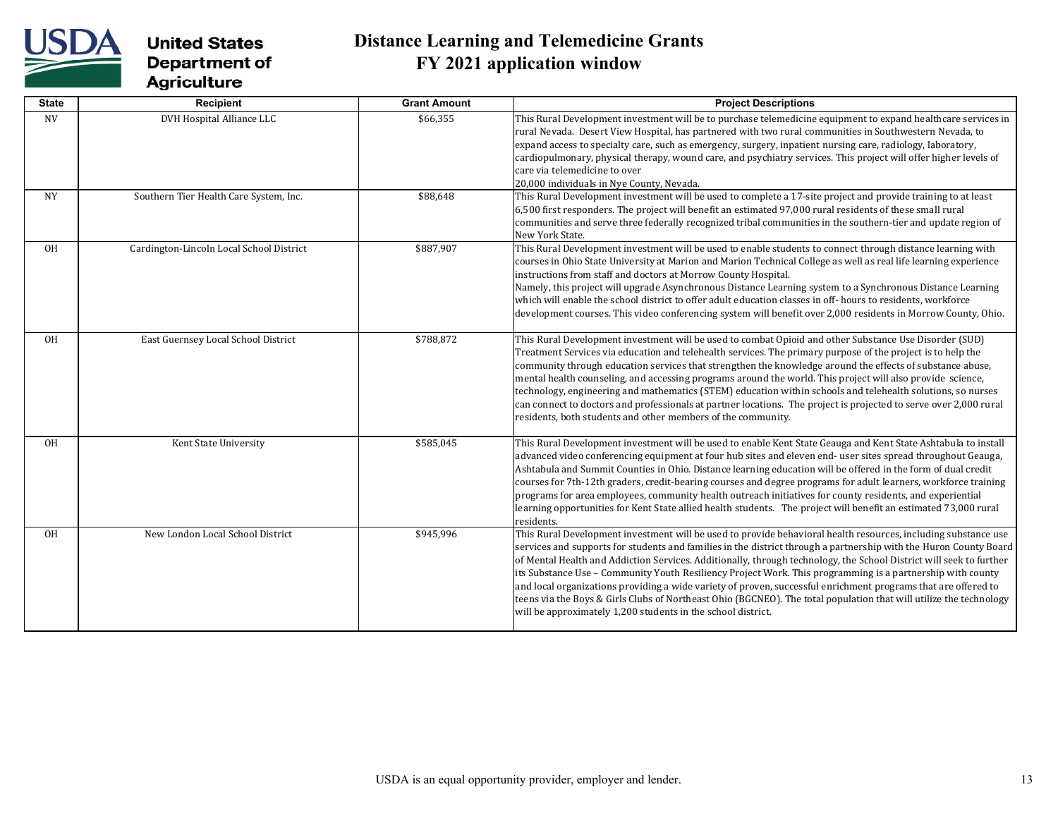

| <b>State</b> | Recipient                                | <b>Grant Amount</b> | <b>Project Descriptions</b>                                                                                                                                                                                                                                                                                                                                                                                                                                                                                                                                                                                                                                                                                                                                                      |
|--------------|------------------------------------------|---------------------|----------------------------------------------------------------------------------------------------------------------------------------------------------------------------------------------------------------------------------------------------------------------------------------------------------------------------------------------------------------------------------------------------------------------------------------------------------------------------------------------------------------------------------------------------------------------------------------------------------------------------------------------------------------------------------------------------------------------------------------------------------------------------------|
| <b>NV</b>    | DVH Hospital Alliance LLC                | \$66,355            | This Rural Development investment will be to purchase telemedicine equipment to expand healthcare services in<br>rural Nevada. Desert View Hospital, has partnered with two rural communities in Southwestern Nevada, to<br>expand access to specialty care, such as emergency, surgery, inpatient nursing care, radiology, laboratory,<br>cardiopulmonary, physical therapy, wound care, and psychiatry services. This project will offer higher levels of<br>care via telemedicine to over<br>20,000 individuals in Nye County, Nevada.                                                                                                                                                                                                                                        |
| NY.          | Southern Tier Health Care System, Inc.   | \$88,648            | This Rural Development investment will be used to complete a 17-site project and provide training to at least<br>6,500 first responders. The project will benefit an estimated 97,000 rural residents of these small rural<br>communities and serve three federally recognized tribal communities in the southern-tier and update region of<br>New York State.                                                                                                                                                                                                                                                                                                                                                                                                                   |
| 0H           | Cardington-Lincoln Local School District | \$887,907           | This Rural Development investment will be used to enable students to connect through distance learning with<br>courses in Ohio State University at Marion and Marion Technical College as well as real life learning experience<br>instructions from staff and doctors at Morrow County Hospital.<br>Namely, this project will upgrade Asynchronous Distance Learning system to a Synchronous Distance Learning<br>which will enable the school district to offer adult education classes in off- hours to residents, workforce<br>development courses. This video conferencing system will benefit over 2,000 residents in Morrow County, Ohio.                                                                                                                                 |
| 0H           | East Guernsey Local School District      | \$788,872           | This Rural Development investment will be used to combat Opioid and other Substance Use Disorder (SUD)<br>Treatment Services via education and telehealth services. The primary purpose of the project is to help the<br>community through education services that strengthen the knowledge around the effects of substance abuse,<br>mental health counseling, and accessing programs around the world. This project will also provide science,<br>technology, engineering and mathematics (STEM) education within schools and telehealth solutions, so nurses<br>can connect to doctors and professionals at partner locations. The project is projected to serve over 2,000 rural<br>residents, both students and other members of the community.                             |
| <b>OH</b>    | Kent State University                    | \$585,045           | This Rural Development investment will be used to enable Kent State Geauga and Kent State Ashtabula to install<br>advanced video conferencing equipment at four hub sites and eleven end- user sites spread throughout Geauga,<br>Ashtabula and Summit Counties in Ohio. Distance learning education will be offered in the form of dual credit<br>courses for 7th-12th graders, credit-bearing courses and degree programs for adult learners, workforce training<br>programs for area employees, community health outreach initiatives for county residents, and experiential<br>learning opportunities for Kent State allied health students. The project will benefit an estimated 73,000 rural<br>residents.                                                                |
| <b>OH</b>    | New London Local School District         | \$945,996           | This Rural Development investment will be used to provide behavioral health resources, including substance use<br>services and supports for students and families in the district through a partnership with the Huron County Board<br>of Mental Health and Addiction Services. Additionally, through technology, the School District will seek to further<br>its Substance Use - Community Youth Resiliency Project Work. This programming is a partnership with county<br>and local organizations providing a wide variety of proven, successful enrichment programs that are offered to<br>teens via the Boys & Girls Clubs of Northeast Ohio (BGCNEO). The total population that will utilize the technology<br>will be approximately 1,200 students in the school district. |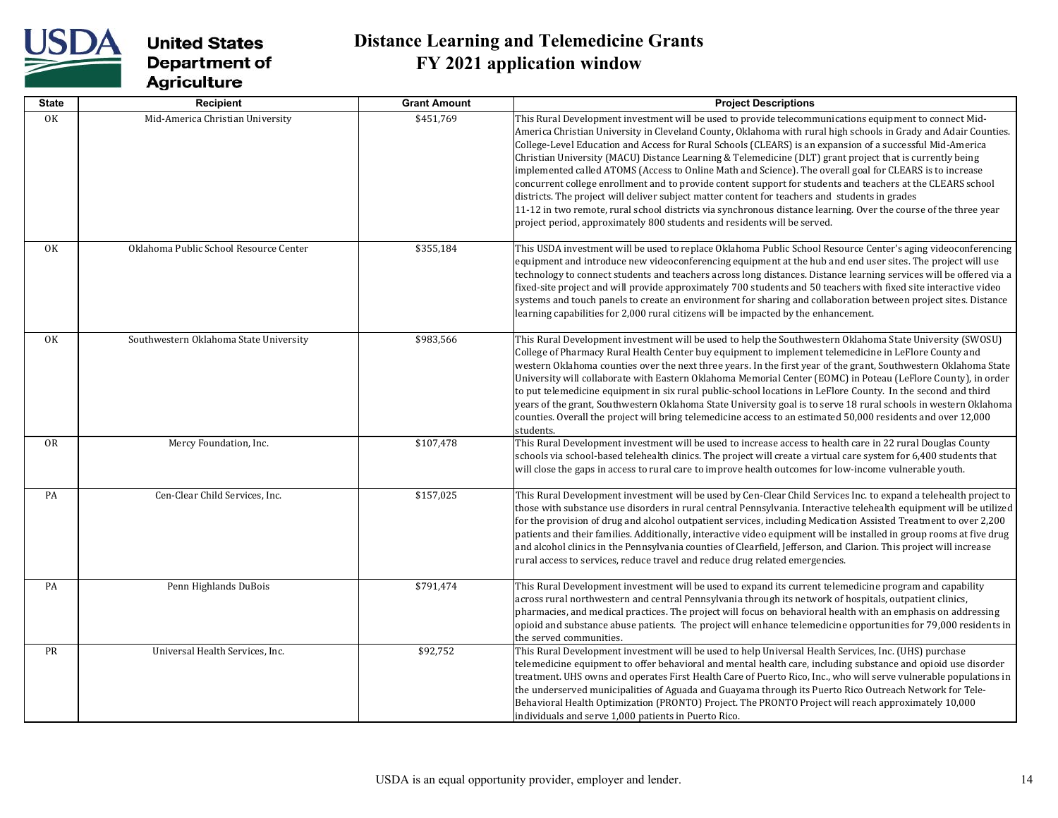

| <b>State</b> | <b>Recipient</b>                       | <b>Grant Amount</b> | <b>Project Descriptions</b>                                                                                                                                                                                                                                                                                                                                                                                                                                                                                                                                                                                                                                                                                                                                                                                                                                                                                                                                                     |
|--------------|----------------------------------------|---------------------|---------------------------------------------------------------------------------------------------------------------------------------------------------------------------------------------------------------------------------------------------------------------------------------------------------------------------------------------------------------------------------------------------------------------------------------------------------------------------------------------------------------------------------------------------------------------------------------------------------------------------------------------------------------------------------------------------------------------------------------------------------------------------------------------------------------------------------------------------------------------------------------------------------------------------------------------------------------------------------|
| OK           | Mid-America Christian University       | \$451,769           | This Rural Development investment will be used to provide telecommunications equipment to connect Mid-<br>America Christian University in Cleveland County, Oklahoma with rural high schools in Grady and Adair Counties.<br>College-Level Education and Access for Rural Schools (CLEARS) is an expansion of a successful Mid-America<br>Christian University (MACU) Distance Learning & Telemedicine (DLT) grant project that is currently being<br>implemented called ATOMS (Access to Online Math and Science). The overall goal for CLEARS is to increase<br>concurrent college enrollment and to provide content support for students and teachers at the CLEARS school<br>districts. The project will deliver subject matter content for teachers and students in grades<br>11-12 in two remote, rural school districts via synchronous distance learning. Over the course of the three year<br>project period, approximately 800 students and residents will be served. |
| 0K           | Oklahoma Public School Resource Center | \$355,184           | This USDA investment will be used to replace Oklahoma Public School Resource Center's aging videoconferencing<br>equipment and introduce new videoconferencing equipment at the hub and end user sites. The project will use<br>technology to connect students and teachers across long distances. Distance learning services will be offered via a<br>fixed-site project and will provide approximately 700 students and 50 teachers with fixed site interactive video<br>systems and touch panels to create an environment for sharing and collaboration between project sites. Distance<br>learning capabilities for 2,000 rural citizens will be impacted by the enhancement.                                                                                                                                                                                                                                                                                               |
| 0K           | Southwestern Oklahoma State University | \$983,566           | This Rural Development investment will be used to help the Southwestern Oklahoma State University (SWOSU)<br>College of Pharmacy Rural Health Center buy equipment to implement telemedicine in LeFlore County and<br>western Oklahoma counties over the next three years. In the first year of the grant, Southwestern Oklahoma State<br>University will collaborate with Eastern Oklahoma Memorial Center (EOMC) in Poteau (LeFlore County), in order<br>to put telemedicine equipment in six rural public-school locations in LeFlore County. In the second and third<br>years of the grant, Southwestern Oklahoma State University goal is to serve 18 rural schools in western Oklahoma<br>counties. Overall the project will bring telemedicine access to an estimated 50,000 residents and over 12,000<br>students.                                                                                                                                                      |
| 0R           | Mercy Foundation, Inc.                 | \$107,478           | This Rural Development investment will be used to increase access to health care in 22 rural Douglas County<br>schools via school-based telehealth clinics. The project will create a virtual care system for 6,400 students that<br>will close the gaps in access to rural care to improve health outcomes for low-income vulnerable youth.                                                                                                                                                                                                                                                                                                                                                                                                                                                                                                                                                                                                                                    |
| PA           | Cen-Clear Child Services, Inc.         | \$157,025           | This Rural Development investment will be used by Cen-Clear Child Services Inc. to expand a telehealth project to<br>those with substance use disorders in rural central Pennsylvania. Interactive telehealth equipment will be utilized<br>for the provision of drug and alcohol outpatient services, including Medication Assisted Treatment to over 2,200<br>patients and their families. Additionally, interactive video equipment will be installed in group rooms at five drug<br>and alcohol clinics in the Pennsylvania counties of Clearfield, Jefferson, and Clarion. This project will increase<br>rural access to services, reduce travel and reduce drug related emergencies.                                                                                                                                                                                                                                                                                      |
| PA           | Penn Highlands DuBois                  | \$791,474           | This Rural Development investment will be used to expand its current telemedicine program and capability<br>across rural northwestern and central Pennsylvania through its network of hospitals, outpatient clinics,<br>pharmacies, and medical practices. The project will focus on behavioral health with an emphasis on addressing<br>opioid and substance abuse patients. The project will enhance telemedicine opportunities for 79,000 residents in<br>the served communities.                                                                                                                                                                                                                                                                                                                                                                                                                                                                                            |
| PR           | Universal Health Services, Inc.        | \$92,752            | This Rural Development investment will be used to help Universal Health Services, Inc. (UHS) purchase<br>telemedicine equipment to offer behavioral and mental health care, including substance and opioid use disorder<br>treatment. UHS owns and operates First Health Care of Puerto Rico, Inc., who will serve vulnerable populations in<br>the underserved municipalities of Aguada and Guayama through its Puerto Rico Outreach Network for Tele-<br>Behavioral Health Optimization (PRONTO) Project. The PRONTO Project will reach approximately 10,000<br>individuals and serve 1,000 patients in Puerto Rico.                                                                                                                                                                                                                                                                                                                                                          |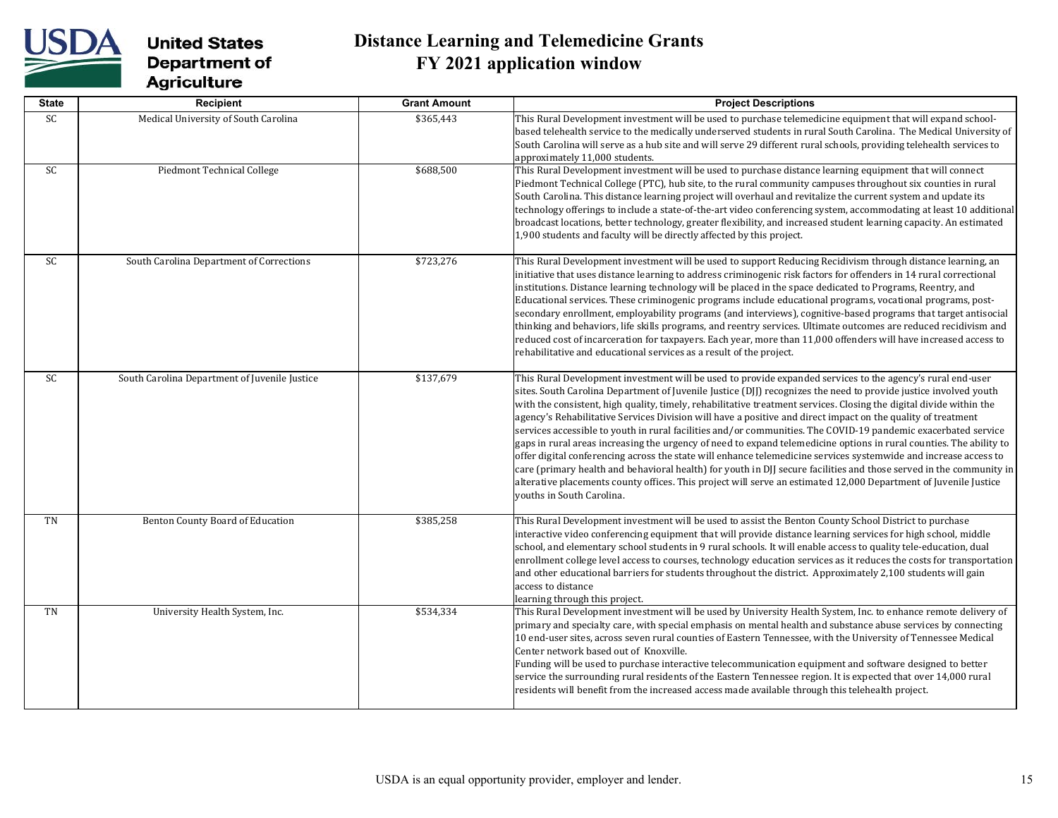

| <b>State</b> | Recipient                                     | <b>Grant Amount</b> | <b>Project Descriptions</b>                                                                                                                                                                                                                                                                                                                                                                                                                                                                                                                                                                                                                                                                                                                                                                                                                                                                                                                                                                                                                                                                                |
|--------------|-----------------------------------------------|---------------------|------------------------------------------------------------------------------------------------------------------------------------------------------------------------------------------------------------------------------------------------------------------------------------------------------------------------------------------------------------------------------------------------------------------------------------------------------------------------------------------------------------------------------------------------------------------------------------------------------------------------------------------------------------------------------------------------------------------------------------------------------------------------------------------------------------------------------------------------------------------------------------------------------------------------------------------------------------------------------------------------------------------------------------------------------------------------------------------------------------|
| SC           | Medical University of South Carolina          | \$365,443           | This Rural Development investment will be used to purchase telemedicine equipment that will expand school-<br>based telehealth service to the medically underserved students in rural South Carolina. The Medical University of<br>South Carolina will serve as a hub site and will serve 29 different rural schools, providing telehealth services to<br>approximately 11,000 students.                                                                                                                                                                                                                                                                                                                                                                                                                                                                                                                                                                                                                                                                                                                   |
| SC           | Piedmont Technical College                    | \$688,500           | This Rural Development investment will be used to purchase distance learning equipment that will connect<br>Piedmont Technical College (PTC), hub site, to the rural community campuses throughout six counties in rural<br>South Carolina. This distance learning project will overhaul and revitalize the current system and update its<br>technology offerings to include a state-of-the-art video conferencing system, accommodating at least 10 additional<br>broadcast locations, better technology, greater flexibility, and increased student learning capacity. An estimated<br>1,900 students and faculty will be directly affected by this project.                                                                                                                                                                                                                                                                                                                                                                                                                                             |
| SC           | South Carolina Department of Corrections      | \$723,276           | This Rural Development investment will be used to support Reducing Recidivism through distance learning, an<br>initiative that uses distance learning to address criminogenic risk factors for offenders in 14 rural correctional<br>institutions. Distance learning technology will be placed in the space dedicated to Programs, Reentry, and<br>Educational services. These criminogenic programs include educational programs, vocational programs, post-<br>secondary enrollment, employability programs (and interviews), cognitive-based programs that target antisocial<br>thinking and behaviors, life skills programs, and reentry services. Ultimate outcomes are reduced recidivism and<br>reduced cost of incarceration for taxpayers. Each year, more than 11,000 offenders will have increased access to<br>rehabilitative and educational services as a result of the project.                                                                                                                                                                                                             |
| SC           | South Carolina Department of Juvenile Justice | \$137,679           | This Rural Development investment will be used to provide expanded services to the agency's rural end-user<br>sites. South Carolina Department of Juvenile Justice (DJJ) recognizes the need to provide justice involved youth<br>with the consistent, high quality, timely, rehabilitative treatment services. Closing the digital divide within the<br>agency's Rehabilitative Services Division will have a positive and direct impact on the quality of treatment<br>services accessible to youth in rural facilities and/or communities. The COVID-19 pandemic exacerbated service<br>gaps in rural areas increasing the urgency of need to expand telemedicine options in rural counties. The ability to<br>offer digital conferencing across the state will enhance telemedicine services systemwide and increase access to<br>care (primary health and behavioral health) for youth in DJJ secure facilities and those served in the community in<br>alterative placements county offices. This project will serve an estimated 12,000 Department of Juvenile Justice<br>youths in South Carolina. |
| TN           | Benton County Board of Education              | \$385,258           | This Rural Development investment will be used to assist the Benton County School District to purchase<br>interactive video conferencing equipment that will provide distance learning services for high school, middle<br>school, and elementary school students in 9 rural schools. It will enable access to quality tele-education, dual<br>enrollment college level access to courses, technology education services as it reduces the costs for transportation<br>and other educational barriers for students throughout the district. Approximately 2,100 students will gain<br>access to distance<br>learning through this project.                                                                                                                                                                                                                                                                                                                                                                                                                                                                 |
| TN           | University Health System, Inc.                | \$534,334           | This Rural Development investment will be used by University Health System, Inc. to enhance remote delivery of<br>primary and specialty care, with special emphasis on mental health and substance abuse services by connecting<br>10 end-user sites, across seven rural counties of Eastern Tennessee, with the University of Tennessee Medical<br>Center network based out of Knoxville.<br>Funding will be used to purchase interactive telecommunication equipment and software designed to better<br>service the surrounding rural residents of the Eastern Tennessee region. It is expected that over 14,000 rural<br>residents will benefit from the increased access made available through this telehealth project.                                                                                                                                                                                                                                                                                                                                                                               |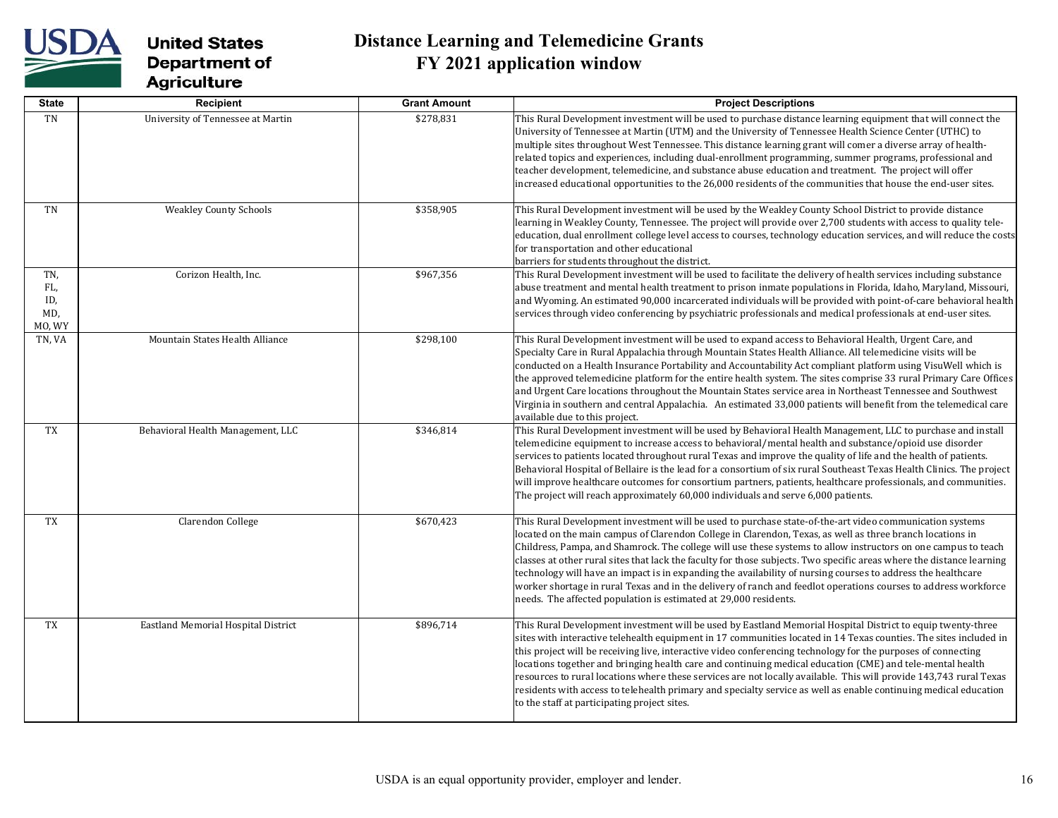

| <b>State</b>                       | Recipient                           | <b>Grant Amount</b> | <b>Project Descriptions</b>                                                                                                                                                                                                                                                                                                                                                                                                                                                                                                                                                                                                                                                                                                                                            |
|------------------------------------|-------------------------------------|---------------------|------------------------------------------------------------------------------------------------------------------------------------------------------------------------------------------------------------------------------------------------------------------------------------------------------------------------------------------------------------------------------------------------------------------------------------------------------------------------------------------------------------------------------------------------------------------------------------------------------------------------------------------------------------------------------------------------------------------------------------------------------------------------|
| TN                                 | University of Tennessee at Martin   | \$278,831           | This Rural Development investment will be used to purchase distance learning equipment that will connect the<br>University of Tennessee at Martin (UTM) and the University of Tennessee Health Science Center (UTHC) to<br>multiple sites throughout West Tennessee. This distance learning grant will comer a diverse array of health-<br>related topics and experiences, including dual-enrollment programming, summer programs, professional and<br>teacher development, telemedicine, and substance abuse education and treatment. The project will offer<br>increased educational opportunities to the 26,000 residents of the communities that house the end-user sites.                                                                                         |
| TN                                 | <b>Weakley County Schools</b>       | \$358,905           | This Rural Development investment will be used by the Weakley County School District to provide distance<br>learning in Weakley County, Tennessee. The project will provide over 2,700 students with access to quality tele-<br>education, dual enrollment college level access to courses, technology education services, and will reduce the costs<br>for transportation and other educational<br>barriers for students throughout the district.                                                                                                                                                                                                                                                                                                                     |
| TN,<br>FL,<br>ID,<br>MD,<br>MO, WY | Corizon Health, Inc.                | \$967,356           | This Rural Development investment will be used to facilitate the delivery of health services including substance<br>abuse treatment and mental health treatment to prison inmate populations in Florida, Idaho, Maryland, Missouri,<br>and Wyoming. An estimated 90,000 incarcerated individuals will be provided with point-of-care behavioral health<br>services through video conferencing by psychiatric professionals and medical professionals at end-user sites.                                                                                                                                                                                                                                                                                                |
| TN, VA                             | Mountain States Health Alliance     | \$298,100           | This Rural Development investment will be used to expand access to Behavioral Health, Urgent Care, and<br>Specialty Care in Rural Appalachia through Mountain States Health Alliance. All telemedicine visits will be<br>conducted on a Health Insurance Portability and Accountability Act compliant platform using VisuWell which is<br>the approved telemedicine platform for the entire health system. The sites comprise 33 rural Primary Care Offices<br>and Urgent Care locations throughout the Mountain States service area in Northeast Tennessee and Southwest<br>Virginia in southern and central Appalachia. An estimated 33,000 patients will benefit from the telemedical care<br>available due to this project.                                        |
| TX                                 | Behavioral Health Management, LLC   | \$346,814           | This Rural Development investment will be used by Behavioral Health Management, LLC to purchase and install<br>telemedicine equipment to increase access to behavioral/mental health and substance/opioid use disorder<br>services to patients located throughout rural Texas and improve the quality of life and the health of patients.<br>Behavioral Hospital of Bellaire is the lead for a consortium of six rural Southeast Texas Health Clinics. The project<br>will improve healthcare outcomes for consortium partners, patients, healthcare professionals, and communities.<br>The project will reach approximately 60,000 individuals and serve 6,000 patients.                                                                                              |
| TX                                 | Clarendon College                   | \$670,423           | This Rural Development investment will be used to purchase state-of-the-art video communication systems<br>located on the main campus of Clarendon College in Clarendon, Texas, as well as three branch locations in<br>Childress, Pampa, and Shamrock. The college will use these systems to allow instructors on one campus to teach<br>classes at other rural sites that lack the faculty for those subjects. Two specific areas where the distance learning<br>technology will have an impact is in expanding the availability of nursing courses to address the healthcare<br>worker shortage in rural Texas and in the delivery of ranch and feedlot operations courses to address workforce<br>needs. The affected population is estimated at 29,000 residents. |
| TX                                 | Eastland Memorial Hospital District | \$896,714           | This Rural Development investment will be used by Eastland Memorial Hospital District to equip twenty-three<br>sites with interactive telehealth equipment in 17 communities located in 14 Texas counties. The sites included in<br>this project will be receiving live, interactive video conferencing technology for the purposes of connecting<br>locations together and bringing health care and continuing medical education (CME) and tele-mental health<br>resources to rural locations where these services are not locally available. This will provide 143,743 rural Texas<br>residents with access to telehealth primary and specialty service as well as enable continuing medical education<br>to the staff at participating project sites.               |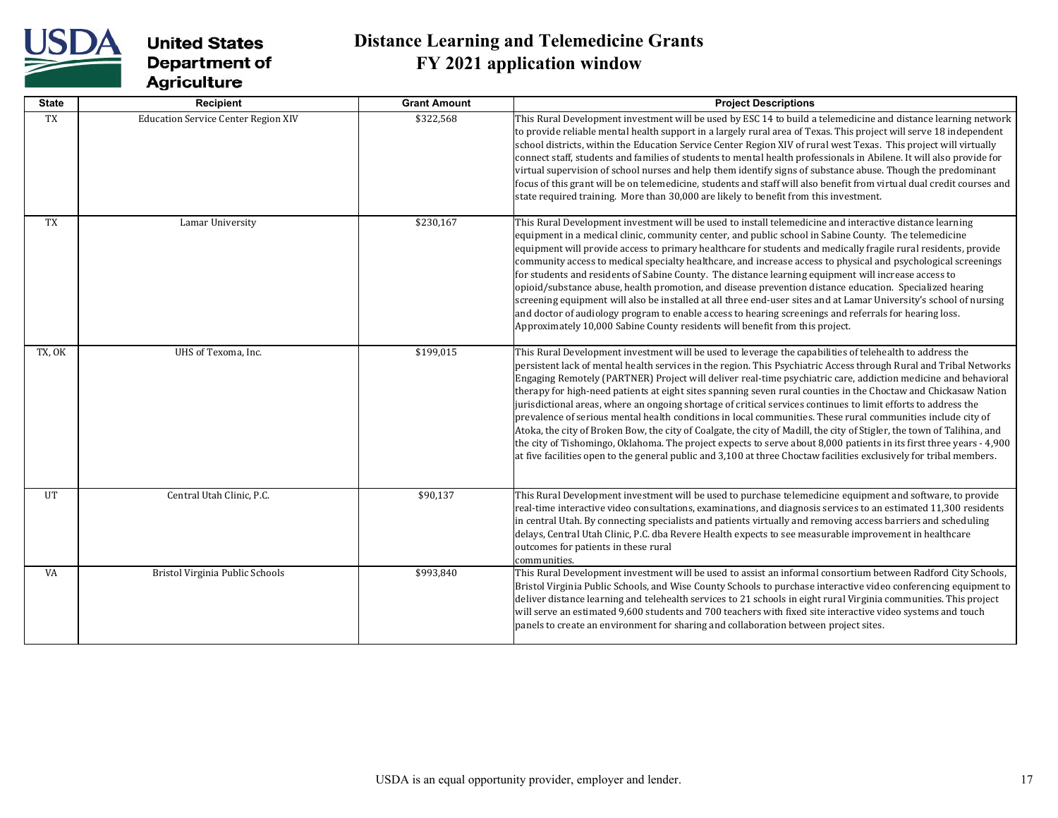

| <b>State</b> | Recipient                                  | <b>Grant Amount</b> | <b>Project Descriptions</b>                                                                                                                                                                                                                                                                                                                                                                                                                                                                                                                                                                                                                                                                                                                                                                                                                                                                                                                                                                                                                                                     |
|--------------|--------------------------------------------|---------------------|---------------------------------------------------------------------------------------------------------------------------------------------------------------------------------------------------------------------------------------------------------------------------------------------------------------------------------------------------------------------------------------------------------------------------------------------------------------------------------------------------------------------------------------------------------------------------------------------------------------------------------------------------------------------------------------------------------------------------------------------------------------------------------------------------------------------------------------------------------------------------------------------------------------------------------------------------------------------------------------------------------------------------------------------------------------------------------|
| TX           | <b>Education Service Center Region XIV</b> | \$322,568           | This Rural Development investment will be used by ESC 14 to build a telemedicine and distance learning network<br>to provide reliable mental health support in a largely rural area of Texas. This project will serve 18 independent<br>school districts, within the Education Service Center Region XIV of rural west Texas. This project will virtually<br>connect staff, students and families of students to mental health professionals in Abilene. It will also provide for<br>virtual supervision of school nurses and help them identify signs of substance abuse. Though the predominant<br>focus of this grant will be on telemedicine, students and staff will also benefit from virtual dual credit courses and<br>state required training. More than 30,000 are likely to benefit from this investment.                                                                                                                                                                                                                                                            |
| <b>TX</b>    | Lamar University                           | \$230,167           | This Rural Development investment will be used to install telemedicine and interactive distance learning<br>equipment in a medical clinic, community center, and public school in Sabine County. The telemedicine<br>equipment will provide access to primary healthcare for students and medically fragile rural residents, provide<br>community access to medical specialty healthcare, and increase access to physical and psychological screenings<br>for students and residents of Sabine County. The distance learning equipment will increase access to<br>opioid/substance abuse, health promotion, and disease prevention distance education. Specialized hearing<br>screening equipment will also be installed at all three end-user sites and at Lamar University's school of nursing<br>and doctor of audiology program to enable access to hearing screenings and referrals for hearing loss.<br>Approximately 10,000 Sabine County residents will benefit from this project.                                                                                      |
| TX, OK       | UHS of Texoma, Inc.                        | \$199,015           | This Rural Development investment will be used to leverage the capabilities of telehealth to address the<br>persistent lack of mental health services in the region. This Psychiatric Access through Rural and Tribal Networks<br>Engaging Remotely (PARTNER) Project will deliver real-time psychiatric care, addiction medicine and behavioral<br>therapy for high-need patients at eight sites spanning seven rural counties in the Choctaw and Chickasaw Nation<br>jurisdictional areas, where an ongoing shortage of critical services continues to limit efforts to address the<br>prevalence of serious mental health conditions in local communities. These rural communities include city of<br>Atoka, the city of Broken Bow, the city of Coalgate, the city of Madill, the city of Stigler, the town of Talihina, and<br>the city of Tishomingo, Oklahoma. The project expects to serve about 8,000 patients in its first three years - 4,900<br>at five facilities open to the general public and 3,100 at three Choctaw facilities exclusively for tribal members. |
| <b>UT</b>    | Central Utah Clinic, P.C.                  | \$90,137            | This Rural Development investment will be used to purchase telemedicine equipment and software, to provide<br>real-time interactive video consultations, examinations, and diagnosis services to an estimated 11,300 residents<br>in central Utah. By connecting specialists and patients virtually and removing access barriers and scheduling<br>delays, Central Utah Clinic, P.C. dba Revere Health expects to see measurable improvement in healthcare<br>outcomes for patients in these rural<br>communities.                                                                                                                                                                                                                                                                                                                                                                                                                                                                                                                                                              |
| VA           | Bristol Virginia Public Schools            | \$993,840           | This Rural Development investment will be used to assist an informal consortium between Radford City Schools,<br>Bristol Virginia Public Schools, and Wise County Schools to purchase interactive video conferencing equipment to<br>deliver distance learning and telehealth services to 21 schools in eight rural Virginia communities. This project<br>will serve an estimated 9,600 students and 700 teachers with fixed site interactive video systems and touch<br>panels to create an environment for sharing and collaboration between project sites.                                                                                                                                                                                                                                                                                                                                                                                                                                                                                                                   |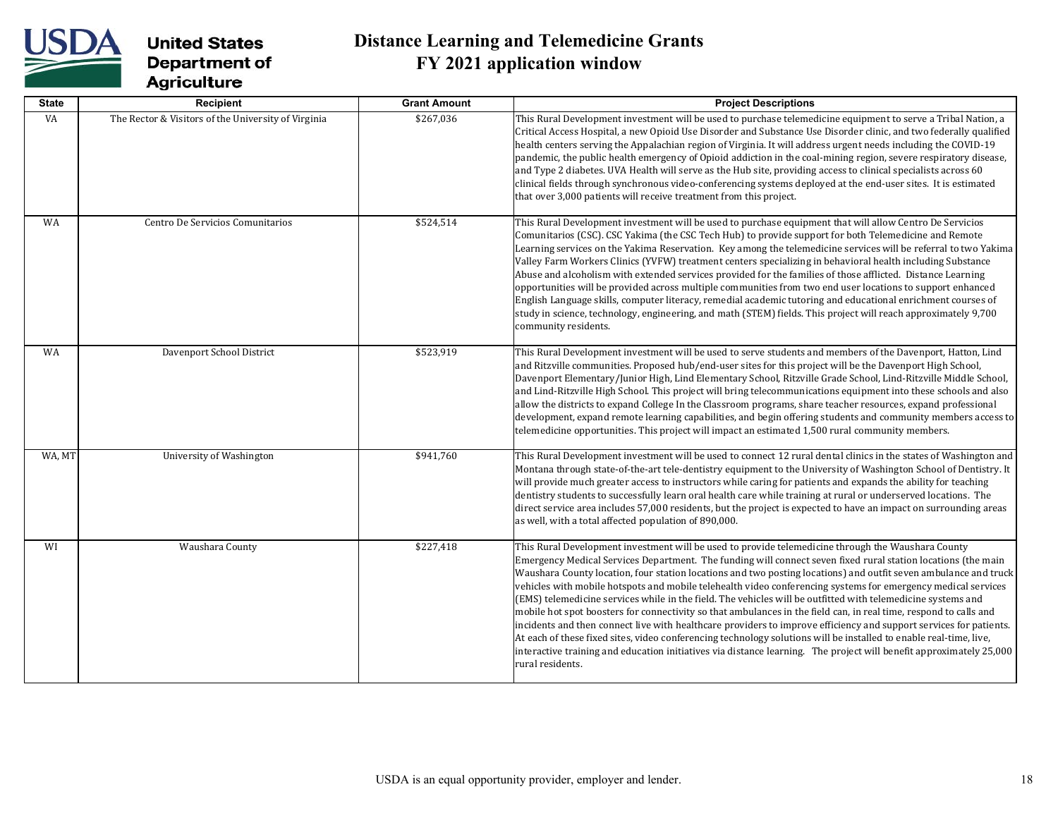

| <b>State</b> | Recipient                                           | <b>Grant Amount</b> | <b>Project Descriptions</b>                                                                                                                                                                                                                                                                                                                                                                                                                                                                                                                                                                                                                                                                                                                                                                                                                                                                                                                                                                                                                                                          |
|--------------|-----------------------------------------------------|---------------------|--------------------------------------------------------------------------------------------------------------------------------------------------------------------------------------------------------------------------------------------------------------------------------------------------------------------------------------------------------------------------------------------------------------------------------------------------------------------------------------------------------------------------------------------------------------------------------------------------------------------------------------------------------------------------------------------------------------------------------------------------------------------------------------------------------------------------------------------------------------------------------------------------------------------------------------------------------------------------------------------------------------------------------------------------------------------------------------|
| VA           | The Rector & Visitors of the University of Virginia | \$267,036           | This Rural Development investment will be used to purchase telemedicine equipment to serve a Tribal Nation, a<br>Critical Access Hospital, a new Opioid Use Disorder and Substance Use Disorder clinic, and two federally qualified<br>health centers serving the Appalachian region of Virginia. It will address urgent needs including the COVID-19<br>pandemic, the public health emergency of Opioid addiction in the coal-mining region, severe respiratory disease,<br>and Type 2 diabetes. UVA Health will serve as the Hub site, providing access to clinical specialists across 60<br>clinical fields through synchronous video-conferencing systems deployed at the end-user sites. It is estimated<br>that over 3,000 patients will receive treatment from this project.                                                                                                                                                                                                                                                                                                  |
| WA           | Centro De Servicios Comunitarios                    | \$524,514           | This Rural Development investment will be used to purchase equipment that will allow Centro De Servicios<br>Comunitarios (CSC). CSC Yakima (the CSC Tech Hub) to provide support for both Telemedicine and Remote<br>Learning services on the Yakima Reservation. Key among the telemedicine services will be referral to two Yakima<br>Valley Farm Workers Clinics (YVFW) treatment centers specializing in behavioral health including Substance<br>Abuse and alcoholism with extended services provided for the families of those afflicted. Distance Learning<br>opportunities will be provided across multiple communities from two end user locations to support enhanced<br>English Language skills, computer literacy, remedial academic tutoring and educational enrichment courses of<br>study in science, technology, engineering, and math (STEM) fields. This project will reach approximately 9,700<br>community residents.                                                                                                                                            |
| WA           | Davenport School District                           | \$523,919           | This Rural Development investment will be used to serve students and members of the Davenport, Hatton, Lind<br>and Ritzville communities. Proposed hub/end-user sites for this project will be the Davenport High School,<br>Davenport Elementary/Junior High, Lind Elementary School, Ritzville Grade School, Lind-Ritzville Middle School,<br>and Lind-Ritzville High School. This project will bring telecommunications equipment into these schools and also<br>allow the districts to expand College In the Classroom programs, share teacher resources, expand professional<br>development, expand remote learning capabilities, and begin offering students and community members access to<br>telemedicine opportunities. This project will impact an estimated 1,500 rural community members.                                                                                                                                                                                                                                                                               |
| WA, MT       | University of Washington                            | \$941,760           | This Rural Development investment will be used to connect 12 rural dental clinics in the states of Washington and<br>Montana through state-of-the-art tele-dentistry equipment to the University of Washington School of Dentistry. It<br>will provide much greater access to instructors while caring for patients and expands the ability for teaching<br>dentistry students to successfully learn oral health care while training at rural or underserved locations. The<br>direct service area includes 57,000 residents, but the project is expected to have an impact on surrounding areas<br>as well, with a total affected population of 890,000.                                                                                                                                                                                                                                                                                                                                                                                                                            |
| WI           | Waushara County                                     | \$227,418           | This Rural Development investment will be used to provide telemedicine through the Waushara County<br>Emergency Medical Services Department. The funding will connect seven fixed rural station locations (the main<br>Waushara County location, four station locations and two posting locations) and outfit seven ambulance and truck<br>vehicles with mobile hotspots and mobile telehealth video conferencing systems for emergency medical services<br>(EMS) telemedicine services while in the field. The vehicles will be outfitted with telemedicine systems and<br>mobile hot spot boosters for connectivity so that ambulances in the field can, in real time, respond to calls and<br>incidents and then connect live with healthcare providers to improve efficiency and support services for patients.<br>At each of these fixed sites, video conferencing technology solutions will be installed to enable real-time, live,<br>interactive training and education initiatives via distance learning. The project will benefit approximately 25,000<br>rural residents. |